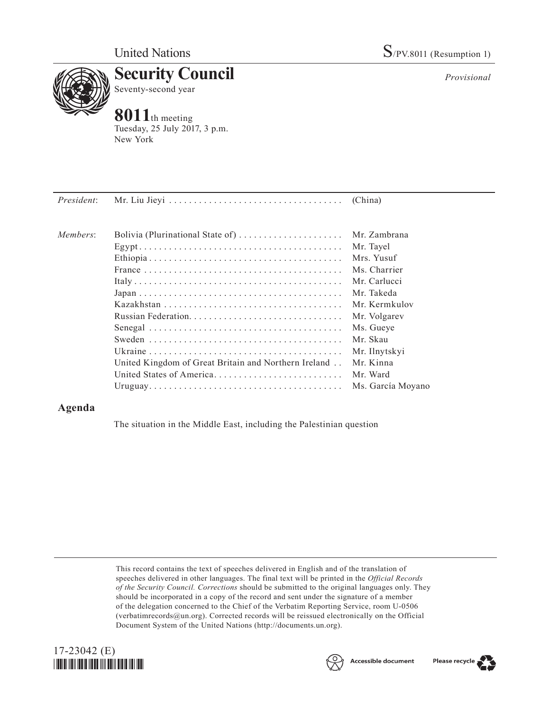

*Provisional*



Tuesday, 25 July 2017, 3 p.m. New York

*President*: Mr. Liu Jieyi. . . (China) *Members*: Bolivia (Plurinational State of). . Mr. Zambrana Egypt. . Mr. Tayel Ethiopia. . Mrs. Yusuf France. . Ms. Charrier Italy. . Mr. Carlucci Japan. . Mr. Takeda Kazakhstan. . Mr. Kermkulov Russian Federation. . Mr. Volgarev Senegal. . Ms. Gueye Sweden. . Mr. Skau Ukraine. . Mr. Ilnytskyi United Kingdom of Great Britain and Northern Ireland. . Mr. Kinna United States of America. . Mr. Ward Uruguay. . Ms. García Moyano

## **Agenda**

The situation in the Middle East, including the Palestinian question

This record contains the text of speeches delivered in English and of the translation of speeches delivered in other languages. The final text will be printed in the *Official Records of the Security Council. Corrections* should be submitted to the original languages only. They should be incorporated in a copy of the record and sent under the signature of a member of the delegation concerned to the Chief of the Verbatim Reporting Service, room U-0506 (verbatimrecords $@un.org$ ). Corrected records will be reissued electronically on the Official Document System of the United Nations [\(http://documents.un.org\)](http://documents.un.org).





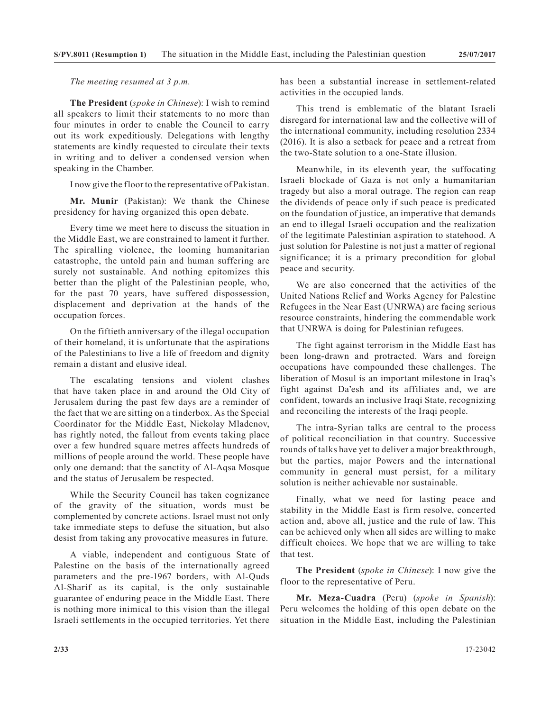*The meeting resumed at 3 p.m.*

**The President** (*spoke in Chinese*): I wish to remind all speakers to limit their statements to no more than four minutes in order to enable the Council to carry out its work expeditiously. Delegations with lengthy statements are kindly requested to circulate their texts in writing and to deliver a condensed version when speaking in the Chamber.

I now give the floor to the representative of Pakistan.

**Mr. Munir** (Pakistan): We thank the Chinese presidency for having organized this open debate.

Every time we meet here to discuss the situation in the Middle East, we are constrained to lament it further. The spiralling violence, the looming humanitarian catastrophe, the untold pain and human suffering are surely not sustainable. And nothing epitomizes this better than the plight of the Palestinian people, who, for the past 70 years, have suffered dispossession, displacement and deprivation at the hands of the occupation forces.

On the fiftieth anniversary of the illegal occupation of their homeland, it is unfortunate that the aspirations of the Palestinians to live a life of freedom and dignity remain a distant and elusive ideal.

The escalating tensions and violent clashes that have taken place in and around the Old City of Jerusalem during the past few days are a reminder of the fact that we are sitting on a tinderbox. As the Special Coordinator for the Middle East, Nickolay Mladenov, has rightly noted, the fallout from events taking place over a few hundred square metres affects hundreds of millions of people around the world. These people have only one demand: that the sanctity of Al-Aqsa Mosque and the status of Jerusalem be respected.

While the Security Council has taken cognizance of the gravity of the situation, words must be complemented by concrete actions. Israel must not only take immediate steps to defuse the situation, but also desist from taking any provocative measures in future.

A viable, independent and contiguous State of Palestine on the basis of the internationally agreed parameters and the pre-1967 borders, with Al-Quds Al-Sharif as its capital, is the only sustainable guarantee of enduring peace in the Middle East. There is nothing more inimical to this vision than the illegal Israeli settlements in the occupied territories. Yet there

has been a substantial increase in settlement-related activities in the occupied lands.

This trend is emblematic of the blatant Israeli disregard for international law and the collective will of the international community, including resolution 2334 (2016). It is also a setback for peace and a retreat from the two-State solution to a one-State illusion.

Meanwhile, in its eleventh year, the suffocating Israeli blockade of Gaza is not only a humanitarian tragedy but also a moral outrage. The region can reap the dividends of peace only if such peace is predicated on the foundation of justice, an imperative that demands an end to illegal Israeli occupation and the realization of the legitimate Palestinian aspiration to statehood. A just solution for Palestine is not just a matter of regional significance; it is a primary precondition for global peace and security.

We are also concerned that the activities of the United Nations Relief and Works Agency for Palestine Refugees in the Near East (UNRWA) are facing serious resource constraints, hindering the commendable work that UNRWA is doing for Palestinian refugees.

The fight against terrorism in the Middle East has been long-drawn and protracted. Wars and foreign occupations have compounded these challenges. The liberation of Mosul is an important milestone in Iraq's fight against Da'esh and its affiliates and, we are confident, towards an inclusive Iraqi State, recognizing and reconciling the interests of the Iraqi people.

The intra-Syrian talks are central to the process of political reconciliation in that country. Successive rounds of talks have yet to deliver a major breakthrough, but the parties, major Powers and the international community in general must persist, for a military solution is neither achievable nor sustainable.

Finally, what we need for lasting peace and stability in the Middle East is firm resolve, concerted action and, above all, justice and the rule of law. This can be achieved only when all sides are willing to make difficult choices. We hope that we are willing to take that test.

**The President** (*spoke in Chinese*): I now give the floor to the representative of Peru.

**Mr. Meza-Cuadra** (Peru) (*spoke in Spanish*): Peru welcomes the holding of this open debate on the situation in the Middle East, including the Palestinian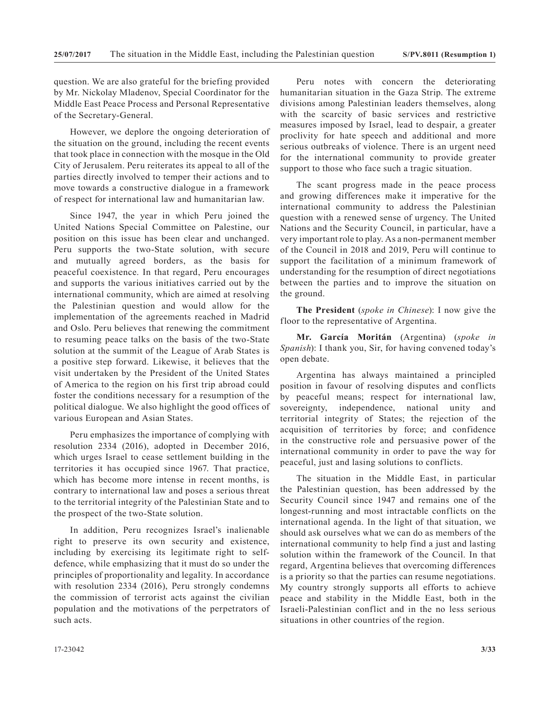question. We are also grateful for the briefing provided by Mr. Nickolay Mladenov, Special Coordinator for the Middle East Peace Process and Personal Representative of the Secretary-General.

However, we deplore the ongoing deterioration of the situation on the ground, including the recent events that took place in connection with the mosque in the Old City of Jerusalem. Peru reiterates its appeal to all of the parties directly involved to temper their actions and to move towards a constructive dialogue in a framework of respect for international law and humanitarian law.

Since 1947, the year in which Peru joined the United Nations Special Committee on Palestine, our position on this issue has been clear and unchanged. Peru supports the two-State solution, with secure and mutually agreed borders, as the basis for peaceful coexistence. In that regard, Peru encourages and supports the various initiatives carried out by the international community, which are aimed at resolving the Palestinian question and would allow for the implementation of the agreements reached in Madrid and Oslo. Peru believes that renewing the commitment to resuming peace talks on the basis of the two-State solution at the summit of the League of Arab States is a positive step forward. Likewise, it believes that the visit undertaken by the President of the United States of America to the region on his first trip abroad could foster the conditions necessary for a resumption of the political dialogue. We also highlight the good offices of various European and Asian States.

Peru emphasizes the importance of complying with resolution 2334 (2016), adopted in December 2016, which urges Israel to cease settlement building in the territories it has occupied since 1967. That practice, which has become more intense in recent months, is contrary to international law and poses a serious threat to the territorial integrity of the Palestinian State and to the prospect of the two-State solution.

In addition, Peru recognizes Israel's inalienable right to preserve its own security and existence, including by exercising its legitimate right to selfdefence, while emphasizing that it must do so under the principles of proportionality and legality. In accordance with resolution 2334 (2016), Peru strongly condemns the commission of terrorist acts against the civilian population and the motivations of the perpetrators of such acts.

Peru notes with concern the deteriorating humanitarian situation in the Gaza Strip. The extreme divisions among Palestinian leaders themselves, along with the scarcity of basic services and restrictive measures imposed by Israel, lead to despair, a greater proclivity for hate speech and additional and more serious outbreaks of violence. There is an urgent need for the international community to provide greater support to those who face such a tragic situation.

The scant progress made in the peace process and growing differences make it imperative for the international community to address the Palestinian question with a renewed sense of urgency. The United Nations and the Security Council, in particular, have a very important role to play. As a non-permanent member of the Council in 2018 and 2019, Peru will continue to support the facilitation of a minimum framework of understanding for the resumption of direct negotiations between the parties and to improve the situation on the ground.

**The President** (*spoke in Chinese*): I now give the floor to the representative of Argentina.

**Mr. García Moritán** (Argentina) (*spoke in Spanish*): I thank you, Sir, for having convened today's open debate.

Argentina has always maintained a principled position in favour of resolving disputes and conflicts by peaceful means; respect for international law, sovereignty, independence, national unity and territorial integrity of States; the rejection of the acquisition of territories by force; and confidence in the constructive role and persuasive power of the international community in order to pave the way for peaceful, just and lasing solutions to conflicts.

The situation in the Middle East, in particular the Palestinian question, has been addressed by the Security Council since 1947 and remains one of the longest-running and most intractable conflicts on the international agenda. In the light of that situation, we should ask ourselves what we can do as members of the international community to help find a just and lasting solution within the framework of the Council. In that regard, Argentina believes that overcoming differences is a priority so that the parties can resume negotiations. My country strongly supports all efforts to achieve peace and stability in the Middle East, both in the Israeli-Palestinian conflict and in the no less serious situations in other countries of the region.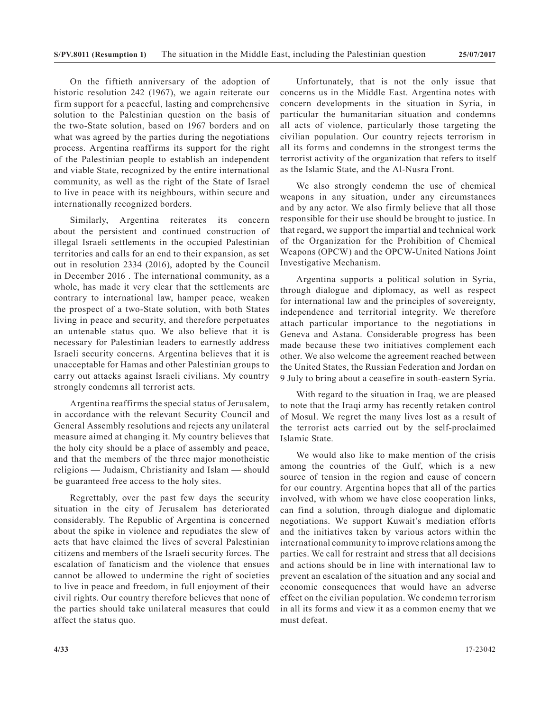On the fiftieth anniversary of the adoption of historic resolution 242 (1967), we again reiterate our firm support for a peaceful, lasting and comprehensive solution to the Palestinian question on the basis of the two-State solution, based on 1967 borders and on what was agreed by the parties during the negotiations process. Argentina reaffirms its support for the right of the Palestinian people to establish an independent and viable State, recognized by the entire international community, as well as the right of the State of Israel to live in peace with its neighbours, within secure and internationally recognized borders.

Similarly, Argentina reiterates its concern about the persistent and continued construction of illegal Israeli settlements in the occupied Palestinian territories and calls for an end to their expansion, as set out in resolution 2334 (2016), adopted by the Council in December 2016 . The international community, as a whole, has made it very clear that the settlements are contrary to international law, hamper peace, weaken the prospect of a two-State solution, with both States living in peace and security, and therefore perpetuates an untenable status quo. We also believe that it is necessary for Palestinian leaders to earnestly address Israeli security concerns. Argentina believes that it is unacceptable for Hamas and other Palestinian groups to carry out attacks against Israeli civilians. My country strongly condemns all terrorist acts.

Argentina reaffirms the special status of Jerusalem, in accordance with the relevant Security Council and General Assembly resolutions and rejects any unilateral measure aimed at changing it. My country believes that the holy city should be a place of assembly and peace, and that the members of the three major monotheistic religions — Judaism, Christianity and Islam — should be guaranteed free access to the holy sites.

Regrettably, over the past few days the security situation in the city of Jerusalem has deteriorated considerably. The Republic of Argentina is concerned about the spike in violence and repudiates the slew of acts that have claimed the lives of several Palestinian citizens and members of the Israeli security forces. The escalation of fanaticism and the violence that ensues cannot be allowed to undermine the right of societies to live in peace and freedom, in full enjoyment of their civil rights. Our country therefore believes that none of the parties should take unilateral measures that could affect the status quo.

Unfortunately, that is not the only issue that concerns us in the Middle East. Argentina notes with concern developments in the situation in Syria, in particular the humanitarian situation and condemns all acts of violence, particularly those targeting the civilian population. Our country rejects terrorism in all its forms and condemns in the strongest terms the terrorist activity of the organization that refers to itself as the Islamic State, and the Al-Nusra Front.

We also strongly condemn the use of chemical weapons in any situation, under any circumstances and by any actor. We also firmly believe that all those responsible for their use should be brought to justice. In that regard, we support the impartial and technical work of the Organization for the Prohibition of Chemical Weapons (OPCW) and the OPCW-United Nations Joint Investigative Mechanism.

Argentina supports a political solution in Syria, through dialogue and diplomacy, as well as respect for international law and the principles of sovereignty, independence and territorial integrity. We therefore attach particular importance to the negotiations in Geneva and Astana. Considerable progress has been made because these two initiatives complement each other. We also welcome the agreement reached between the United States, the Russian Federation and Jordan on 9 July to bring about a ceasefire in south-eastern Syria.

With regard to the situation in Iraq, we are pleased to note that the Iraqi army has recently retaken control of Mosul. We regret the many lives lost as a result of the terrorist acts carried out by the self-proclaimed Islamic State.

We would also like to make mention of the crisis among the countries of the Gulf, which is a new source of tension in the region and cause of concern for our country. Argentina hopes that all of the parties involved, with whom we have close cooperation links, can find a solution, through dialogue and diplomatic negotiations. We support Kuwait's mediation efforts and the initiatives taken by various actors within the international community to improve relations among the parties. We call for restraint and stress that all decisions and actions should be in line with international law to prevent an escalation of the situation and any social and economic consequences that would have an adverse effect on the civilian population. We condemn terrorism in all its forms and view it as a common enemy that we must defeat.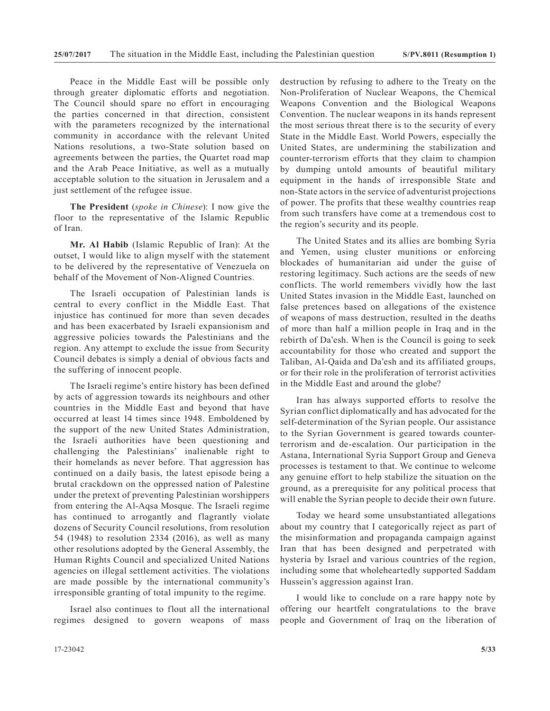Peace in the Middle East will be possible only through greater diplomatic efforts and negotiation. The Council should spare no effort in encouraging the parties concerned in that direction, consistent with the parameters recognized by the international community in accordance with the relevant United Nations resolutions, a two-State solution based on agreements between the parties, the Quartet road map and the Arab Peace Initiative, as well as a mutually acceptable solution to the situation in Jerusalem and a just settlement of the refugee issue.

**The President** (*spoke in Chinese*): I now give the floor to the representative of the Islamic Republic of Iran.

**Mr. Al Habib** (Islamic Republic of Iran): At the outset, I would like to align myself with the statement to be delivered by the representative of Venezuela on behalf of the Movement of Non-Aligned Countries.

The Israeli occupation of Palestinian lands is central to every conflict in the Middle East. That injustice has continued for more than seven decades and has been exacerbated by Israeli expansionism and aggressive policies towards the Palestinians and the region. Any attempt to exclude the issue from Security Council debates is simply a denial of obvious facts and the suffering of innocent people.

The Israeli regime's entire history has been defined by acts of aggression towards its neighbours and other countries in the Middle East and beyond that have occurred at least 14 times since 1948. Emboldened by the support of the new United States Administration, the Israeli authorities have been questioning and challenging the Palestinians' inalienable right to their homelands as never before. That aggression has continued on a daily basis, the latest episode being a brutal crackdown on the oppressed nation of Palestine under the pretext of preventing Palestinian worshippers from entering the Al-Aqsa Mosque. The Israeli regime has continued to arrogantly and flagrantly violate dozens of Security Council resolutions, from resolution 54 (1948) to resolution 2334 (2016), as well as many other resolutions adopted by the General Assembly, the Human Rights Council and specialized United Nations agencies on illegal settlement activities. The violations are made possible by the international community's irresponsible granting of total impunity to the regime.

Israel also continues to flout all the international regimes designed to govern weapons of mass

destruction by refusing to adhere to the Treaty on the Non-Proliferation of Nuclear Weapons, the Chemical Weapons Convention and the Biological Weapons Convention. The nuclear weapons in its hands represent the most serious threat there is to the security of every State in the Middle East. World Powers, especially the United States, are undermining the stabilization and counter-terrorism efforts that they claim to champion by dumping untold amounts of beautiful military equipment in the hands of irresponsible State and non-State actors in the service of adventurist projections of power. The profits that these wealthy countries reap from such transfers have come at a tremendous cost to the region's security and its people.

The United States and its allies are bombing Syria and Yemen, using cluster munitions or enforcing blockades of humanitarian aid under the guise of restoring legitimacy. Such actions are the seeds of new conflicts. The world remembers vividly how the last United States invasion in the Middle East, launched on false pretences based on allegations of the existence of weapons of mass destruction, resulted in the deaths of more than half a million people in Iraq and in the rebirth of Da'esh. When is the Council is going to seek accountability for those who created and support the Taliban, Al-Qaida and Da'esh and its affiliated groups, or for their role in the proliferation of terrorist activities in the Middle East and around the globe?

Iran has always supported efforts to resolve the Syrian conflict diplomatically and has advocated for the self-determination of the Syrian people. Our assistance to the Syrian Government is geared towards counterterrorism and de-escalation. Our participation in the Astana, International Syria Support Group and Geneva processes is testament to that. We continue to welcome any genuine effort to help stabilize the situation on the ground, as a prerequisite for any political process that will enable the Syrian people to decide their own future.

Today we heard some unsubstantiated allegations about my country that I categorically reject as part of the misinformation and propaganda campaign against Iran that has been designed and perpetrated with hysteria by Israel and various countries of the region, including some that wholeheartedly supported Saddam Hussein's aggression against Iran.

I would like to conclude on a rare happy note by offering our heartfelt congratulations to the brave people and Government of Iraq on the liberation of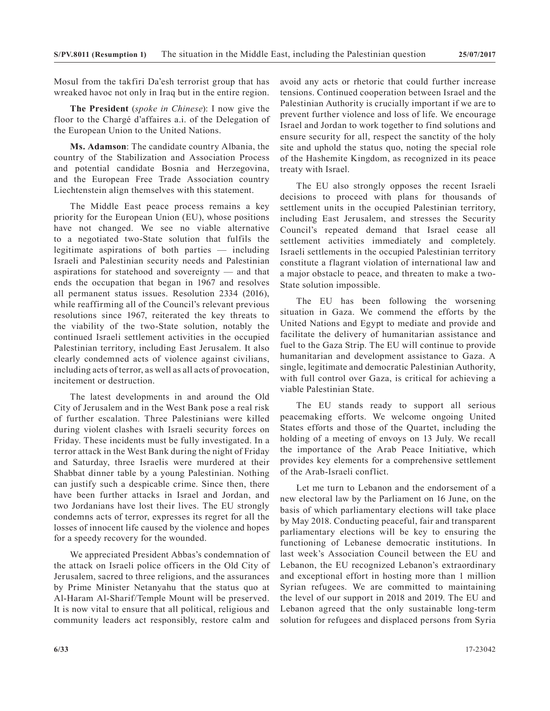Mosul from the takfiri Da'esh terrorist group that has wreaked havoc not only in Iraq but in the entire region.

**The President** (*spoke in Chinese*): I now give the floor to the Chargé d'affaires a.i. of the Delegation of the European Union to the United Nations.

**Ms. Adamson**: The candidate country Albania, the country of the Stabilization and Association Process and potential candidate Bosnia and Herzegovina, and the European Free Trade Association country Liechtenstein align themselves with this statement.

The Middle East peace process remains a key priority for the European Union (EU), whose positions have not changed. We see no viable alternative to a negotiated two-State solution that fulfils the legitimate aspirations of both parties — including Israeli and Palestinian security needs and Palestinian aspirations for statehood and sovereignty — and that ends the occupation that began in 1967 and resolves all permanent status issues. Resolution 2334 (2016), while reaffirming all of the Council's relevant previous resolutions since 1967, reiterated the key threats to the viability of the two-State solution, notably the continued Israeli settlement activities in the occupied Palestinian territory, including East Jerusalem. It also clearly condemned acts of violence against civilians, including acts of terror, as well as all acts of provocation, incitement or destruction.

The latest developments in and around the Old City of Jerusalem and in the West Bank pose a real risk of further escalation. Three Palestinians were killed during violent clashes with Israeli security forces on Friday. These incidents must be fully investigated. In a terror attack in the West Bank during the night of Friday and Saturday, three Israelis were murdered at their Shabbat dinner table by a young Palestinian. Nothing can justify such a despicable crime. Since then, there have been further attacks in Israel and Jordan, and two Jordanians have lost their lives. The EU strongly condemns acts of terror, expresses its regret for all the losses of innocent life caused by the violence and hopes for a speedy recovery for the wounded.

We appreciated President Abbas's condemnation of the attack on Israeli police officers in the Old City of Jerusalem, sacred to three religions, and the assurances by Prime Minister Netanyahu that the status quo at Al-Haram Al-Sharif/Temple Mount will be preserved. It is now vital to ensure that all political, religious and community leaders act responsibly, restore calm and

avoid any acts or rhetoric that could further increase tensions. Continued cooperation between Israel and the Palestinian Authority is crucially important if we are to prevent further violence and loss of life. We encourage Israel and Jordan to work together to find solutions and ensure security for all, respect the sanctity of the holy site and uphold the status quo, noting the special role of the Hashemite Kingdom, as recognized in its peace treaty with Israel.

The EU also strongly opposes the recent Israeli decisions to proceed with plans for thousands of settlement units in the occupied Palestinian territory, including East Jerusalem, and stresses the Security Council's repeated demand that Israel cease all settlement activities immediately and completely. Israeli settlements in the occupied Palestinian territory constitute a flagrant violation of international law and a major obstacle to peace, and threaten to make a two-State solution impossible.

The EU has been following the worsening situation in Gaza. We commend the efforts by the United Nations and Egypt to mediate and provide and facilitate the delivery of humanitarian assistance and fuel to the Gaza Strip. The EU will continue to provide humanitarian and development assistance to Gaza. A single, legitimate and democratic Palestinian Authority, with full control over Gaza, is critical for achieving a viable Palestinian State.

The EU stands ready to support all serious peacemaking efforts. We welcome ongoing United States efforts and those of the Quartet, including the holding of a meeting of envoys on 13 July. We recall the importance of the Arab Peace Initiative, which provides key elements for a comprehensive settlement of the Arab-Israeli conflict.

Let me turn to Lebanon and the endorsement of a new electoral law by the Parliament on 16 June, on the basis of which parliamentary elections will take place by May 2018. Conducting peaceful, fair and transparent parliamentary elections will be key to ensuring the functioning of Lebanese democratic institutions. In last week's Association Council between the EU and Lebanon, the EU recognized Lebanon's extraordinary and exceptional effort in hosting more than 1 million Syrian refugees. We are committed to maintaining the level of our support in 2018 and 2019. The EU and Lebanon agreed that the only sustainable long-term solution for refugees and displaced persons from Syria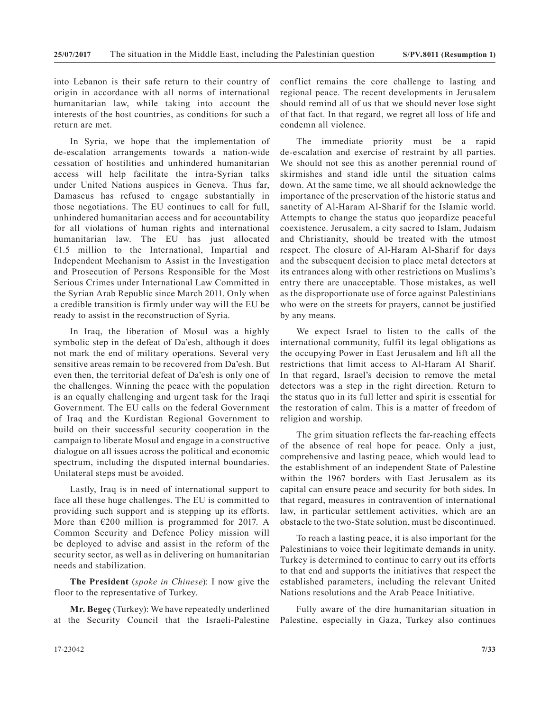into Lebanon is their safe return to their country of origin in accordance with all norms of international humanitarian law, while taking into account the interests of the host countries, as conditions for such a return are met.

In Syria, we hope that the implementation of de-escalation arrangements towards a nation-wide cessation of hostilities and unhindered humanitarian access will help facilitate the intra-Syrian talks under United Nations auspices in Geneva. Thus far, Damascus has refused to engage substantially in those negotiations. The EU continues to call for full, unhindered humanitarian access and for accountability for all violations of human rights and international humanitarian law. The EU has just allocated €1.5 million to the International, Impartial and Independent Mechanism to Assist in the Investigation and Prosecution of Persons Responsible for the Most Serious Crimes under International Law Committed in the Syrian Arab Republic since March 2011. Only when a credible transition is firmly under way will the EU be ready to assist in the reconstruction of Syria.

In Iraq, the liberation of Mosul was a highly symbolic step in the defeat of Da'esh, although it does not mark the end of military operations. Several very sensitive areas remain to be recovered from Da'esh. But even then, the territorial defeat of Da'esh is only one of the challenges. Winning the peace with the population is an equally challenging and urgent task for the Iraqi Government. The EU calls on the federal Government of Iraq and the Kurdistan Regional Government to build on their successful security cooperation in the campaign to liberate Mosul and engage in a constructive dialogue on all issues across the political and economic spectrum, including the disputed internal boundaries. Unilateral steps must be avoided.

Lastly, Iraq is in need of international support to face all these huge challenges. The EU is committed to providing such support and is stepping up its efforts. More than  $E200$  million is programmed for 2017. A Common Security and Defence Policy mission will be deployed to advise and assist in the reform of the security sector, as well as in delivering on humanitarian needs and stabilization.

**The President** (*spoke in Chinese*): I now give the floor to the representative of Turkey.

**Mr. Begeç** (Turkey): We have repeatedly underlined at the Security Council that the Israeli-Palestine conflict remains the core challenge to lasting and regional peace. The recent developments in Jerusalem should remind all of us that we should never lose sight of that fact. In that regard, we regret all loss of life and condemn all violence.

The immediate priority must be a rapid de-escalation and exercise of restraint by all parties. We should not see this as another perennial round of skirmishes and stand idle until the situation calms down. At the same time, we all should acknowledge the importance of the preservation of the historic status and sanctity of Al-Haram Al-Sharif for the Islamic world. Attempts to change the status quo jeopardize peaceful coexistence. Jerusalem, a city sacred to Islam, Judaism and Christianity, should be treated with the utmost respect. The closure of Al-Haram Al-Sharif for days and the subsequent decision to place metal detectors at its entrances along with other restrictions on Muslims's entry there are unacceptable. Those mistakes, as well as the disproportionate use of force against Palestinians who were on the streets for prayers, cannot be justified by any means.

We expect Israel to listen to the calls of the international community, fulfil its legal obligations as the occupying Power in East Jerusalem and lift all the restrictions that limit access to Al-Haram Al Sharif. In that regard, Israel's decision to remove the metal detectors was a step in the right direction. Return to the status quo in its full letter and spirit is essential for the restoration of calm. This is a matter of freedom of religion and worship.

The grim situation reflects the far-reaching effects of the absence of real hope for peace. Only a just, comprehensive and lasting peace, which would lead to the establishment of an independent State of Palestine within the 1967 borders with East Jerusalem as its capital can ensure peace and security for both sides. In that regard, measures in contravention of international law, in particular settlement activities, which are an obstacle to the two-State solution, must be discontinued.

To reach a lasting peace, it is also important for the Palestinians to voice their legitimate demands in unity. Turkey is determined to continue to carry out its efforts to that end and supports the initiatives that respect the established parameters, including the relevant United Nations resolutions and the Arab Peace Initiative.

Fully aware of the dire humanitarian situation in Palestine, especially in Gaza, Turkey also continues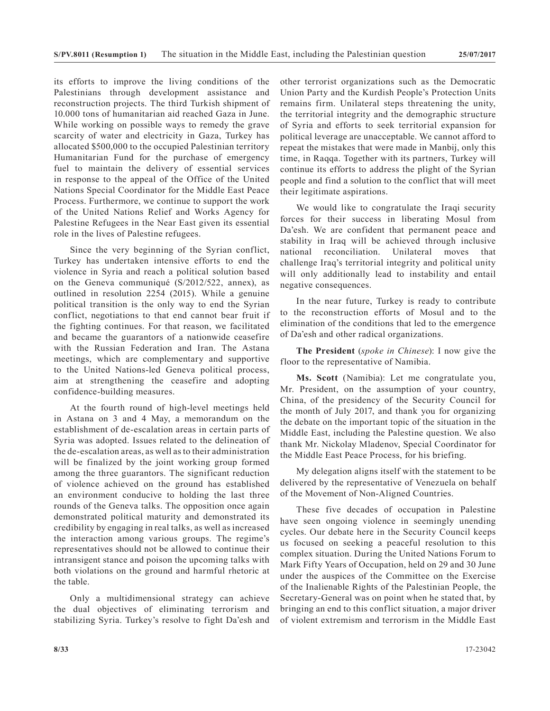its efforts to improve the living conditions of the Palestinians through development assistance and reconstruction projects. The third Turkish shipment of 10.000 tons of humanitarian aid reached Gaza in June. While working on possible ways to remedy the grave scarcity of water and electricity in Gaza, Turkey has allocated \$500,000 to the occupied Palestinian territory Humanitarian Fund for the purchase of emergency fuel to maintain the delivery of essential services in response to the appeal of the Office of the United Nations Special Coordinator for the Middle East Peace Process. Furthermore, we continue to support the work of the United Nations Relief and Works Agency for Palestine Refugees in the Near East given its essential role in the lives of Palestine refugees.

Since the very beginning of the Syrian conflict, Turkey has undertaken intensive efforts to end the violence in Syria and reach a political solution based on the Geneva communiqué (S/2012/522, annex), as outlined in resolution 2254 (2015). While a genuine political transition is the only way to end the Syrian conflict, negotiations to that end cannot bear fruit if the fighting continues. For that reason, we facilitated and became the guarantors of a nationwide ceasefire with the Russian Federation and Iran. The Astana meetings, which are complementary and supportive to the United Nations-led Geneva political process, aim at strengthening the ceasefire and adopting confidence-building measures.

At the fourth round of high-level meetings held in Astana on 3 and 4 May, a memorandum on the establishment of de-escalation areas in certain parts of Syria was adopted. Issues related to the delineation of the de-escalation areas, as well as to their administration will be finalized by the joint working group formed among the three guarantors. The significant reduction of violence achieved on the ground has established an environment conducive to holding the last three rounds of the Geneva talks. The opposition once again demonstrated political maturity and demonstrated its credibility by engaging in real talks, as well as increased the interaction among various groups. The regime's representatives should not be allowed to continue their intransigent stance and poison the upcoming talks with both violations on the ground and harmful rhetoric at the table.

Only a multidimensional strategy can achieve the dual objectives of eliminating terrorism and stabilizing Syria. Turkey's resolve to fight Da'esh and other terrorist organizations such as the Democratic Union Party and the Kurdish People's Protection Units remains firm. Unilateral steps threatening the unity, the territorial integrity and the demographic structure of Syria and efforts to seek territorial expansion for political leverage are unacceptable. We cannot afford to repeat the mistakes that were made in Manbij, only this time, in Raqqa. Together with its partners, Turkey will continue its efforts to address the plight of the Syrian people and find a solution to the conflict that will meet their legitimate aspirations.

We would like to congratulate the Iraqi security forces for their success in liberating Mosul from Da'esh. We are confident that permanent peace and stability in Iraq will be achieved through inclusive national reconciliation. Unilateral moves that challenge Iraq's territorial integrity and political unity will only additionally lead to instability and entail negative consequences.

In the near future, Turkey is ready to contribute to the reconstruction efforts of Mosul and to the elimination of the conditions that led to the emergence of Da'esh and other radical organizations.

**The President** (*spoke in Chinese*): I now give the floor to the representative of Namibia.

**Ms. Scott** (Namibia): Let me congratulate you, Mr. President, on the assumption of your country, China, of the presidency of the Security Council for the month of July 2017, and thank you for organizing the debate on the important topic of the situation in the Middle East, including the Palestine question. We also thank Mr. Nickolay Mladenov, Special Coordinator for the Middle East Peace Process, for his briefing.

My delegation aligns itself with the statement to be delivered by the representative of Venezuela on behalf of the Movement of Non-Aligned Countries.

These five decades of occupation in Palestine have seen ongoing violence in seemingly unending cycles. Our debate here in the Security Council keeps us focused on seeking a peaceful resolution to this complex situation. During the United Nations Forum to Mark Fifty Years of Occupation, held on 29 and 30 June under the auspices of the Committee on the Exercise of the Inalienable Rights of the Palestinian People, the Secretary-General was on point when he stated that, by bringing an end to this conflict situation, a major driver of violent extremism and terrorism in the Middle East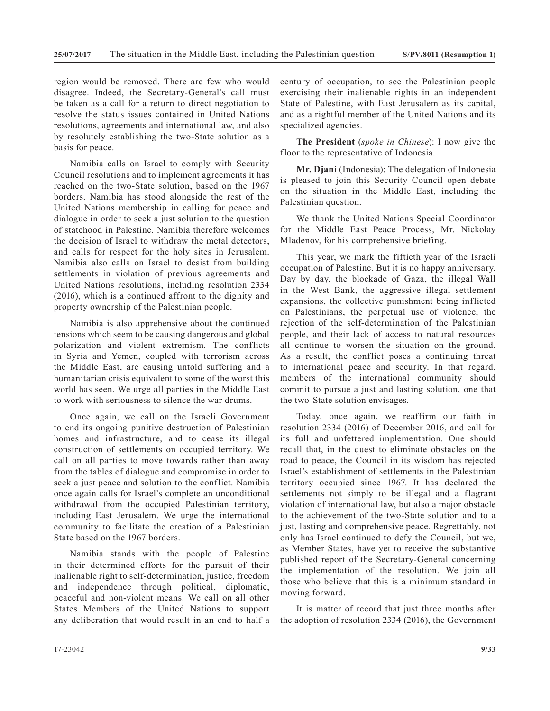region would be removed. There are few who would disagree. Indeed, the Secretary-General's call must be taken as a call for a return to direct negotiation to resolve the status issues contained in United Nations resolutions, agreements and international law, and also by resolutely establishing the two-State solution as a basis for peace.

Namibia calls on Israel to comply with Security Council resolutions and to implement agreements it has reached on the two-State solution, based on the 1967 borders. Namibia has stood alongside the rest of the United Nations membership in calling for peace and dialogue in order to seek a just solution to the question of statehood in Palestine. Namibia therefore welcomes the decision of Israel to withdraw the metal detectors, and calls for respect for the holy sites in Jerusalem. Namibia also calls on Israel to desist from building settlements in violation of previous agreements and United Nations resolutions, including resolution 2334 (2016), which is a continued affront to the dignity and property ownership of the Palestinian people.

Namibia is also apprehensive about the continued tensions which seem to be causing dangerous and global polarization and violent extremism. The conflicts in Syria and Yemen, coupled with terrorism across the Middle East, are causing untold suffering and a humanitarian crisis equivalent to some of the worst this world has seen. We urge all parties in the Middle East to work with seriousness to silence the war drums.

Once again, we call on the Israeli Government to end its ongoing punitive destruction of Palestinian homes and infrastructure, and to cease its illegal construction of settlements on occupied territory. We call on all parties to move towards rather than away from the tables of dialogue and compromise in order to seek a just peace and solution to the conflict. Namibia once again calls for Israel's complete an unconditional withdrawal from the occupied Palestinian territory, including East Jerusalem. We urge the international community to facilitate the creation of a Palestinian State based on the 1967 borders.

Namibia stands with the people of Palestine in their determined efforts for the pursuit of their inalienable right to self-determination, justice, freedom and independence through political, diplomatic, peaceful and non-violent means. We call on all other States Members of the United Nations to support any deliberation that would result in an end to half a century of occupation, to see the Palestinian people exercising their inalienable rights in an independent State of Palestine, with East Jerusalem as its capital, and as a rightful member of the United Nations and its specialized agencies.

**The President** (*spoke in Chinese*): I now give the floor to the representative of Indonesia.

**Mr. Djani** (Indonesia): The delegation of Indonesia is pleased to join this Security Council open debate on the situation in the Middle East, including the Palestinian question.

We thank the United Nations Special Coordinator for the Middle East Peace Process, Mr. Nickolay Mladenov, for his comprehensive briefing.

This year, we mark the fiftieth year of the Israeli occupation of Palestine. But it is no happy anniversary. Day by day, the blockade of Gaza, the illegal Wall in the West Bank, the aggressive illegal settlement expansions, the collective punishment being inflicted on Palestinians, the perpetual use of violence, the rejection of the self-determination of the Palestinian people, and their lack of access to natural resources all continue to worsen the situation on the ground. As a result, the conflict poses a continuing threat to international peace and security. In that regard, members of the international community should commit to pursue a just and lasting solution, one that the two-State solution envisages.

Today, once again, we reaffirm our faith in resolution 2334 (2016) of December 2016, and call for its full and unfettered implementation. One should recall that, in the quest to eliminate obstacles on the road to peace, the Council in its wisdom has rejected Israel's establishment of settlements in the Palestinian territory occupied since 1967. It has declared the settlements not simply to be illegal and a flagrant violation of international law, but also a major obstacle to the achievement of the two-State solution and to a just, lasting and comprehensive peace. Regrettably, not only has Israel continued to defy the Council, but we, as Member States, have yet to receive the substantive published report of the Secretary-General concerning the implementation of the resolution. We join all those who believe that this is a minimum standard in moving forward.

It is matter of record that just three months after the adoption of resolution 2334 (2016), the Government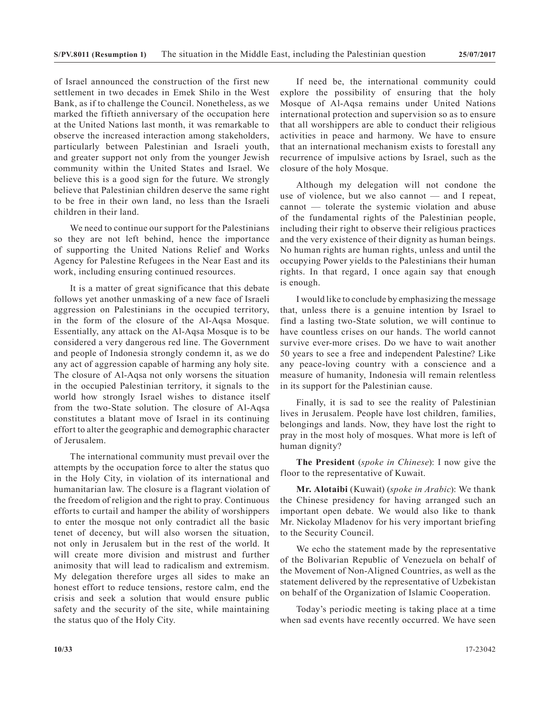of Israel announced the construction of the first new settlement in two decades in Emek Shilo in the West Bank, as if to challenge the Council. Nonetheless, as we marked the fiftieth anniversary of the occupation here at the United Nations last month, it was remarkable to observe the increased interaction among stakeholders, particularly between Palestinian and Israeli youth, and greater support not only from the younger Jewish community within the United States and Israel. We believe this is a good sign for the future. We strongly believe that Palestinian children deserve the same right to be free in their own land, no less than the Israeli children in their land.

We need to continue our support for the Palestinians so they are not left behind, hence the importance of supporting the United Nations Relief and Works Agency for Palestine Refugees in the Near East and its work, including ensuring continued resources.

It is a matter of great significance that this debate follows yet another unmasking of a new face of Israeli aggression on Palestinians in the occupied territory, in the form of the closure of the Al-Aqsa Mosque. Essentially, any attack on the Al-Aqsa Mosque is to be considered a very dangerous red line. The Government and people of Indonesia strongly condemn it, as we do any act of aggression capable of harming any holy site. The closure of Al-Aqsa not only worsens the situation in the occupied Palestinian territory, it signals to the world how strongly Israel wishes to distance itself from the two-State solution. The closure of Al-Aqsa constitutes a blatant move of Israel in its continuing effort to alter the geographic and demographic character of Jerusalem.

The international community must prevail over the attempts by the occupation force to alter the status quo in the Holy City, in violation of its international and humanitarian law. The closure is a flagrant violation of the freedom of religion and the right to pray. Continuous efforts to curtail and hamper the ability of worshippers to enter the mosque not only contradict all the basic tenet of decency, but will also worsen the situation, not only in Jerusalem but in the rest of the world. It will create more division and mistrust and further animosity that will lead to radicalism and extremism. My delegation therefore urges all sides to make an honest effort to reduce tensions, restore calm, end the crisis and seek a solution that would ensure public safety and the security of the site, while maintaining the status quo of the Holy City.

If need be, the international community could explore the possibility of ensuring that the holy Mosque of Al-Aqsa remains under United Nations international protection and supervision so as to ensure that all worshippers are able to conduct their religious activities in peace and harmony. We have to ensure that an international mechanism exists to forestall any recurrence of impulsive actions by Israel, such as the closure of the holy Mosque.

Although my delegation will not condone the use of violence, but we also cannot — and I repeat, cannot — tolerate the systemic violation and abuse of the fundamental rights of the Palestinian people, including their right to observe their religious practices and the very existence of their dignity as human beings. No human rights are human rights, unless and until the occupying Power yields to the Palestinians their human rights. In that regard, I once again say that enough is enough.

I would like to conclude by emphasizing the message that, unless there is a genuine intention by Israel to find a lasting two-State solution, we will continue to have countless crises on our hands. The world cannot survive ever-more crises. Do we have to wait another 50 years to see a free and independent Palestine? Like any peace-loving country with a conscience and a measure of humanity, Indonesia will remain relentless in its support for the Palestinian cause.

Finally, it is sad to see the reality of Palestinian lives in Jerusalem. People have lost children, families, belongings and lands. Now, they have lost the right to pray in the most holy of mosques. What more is left of human dignity?

**The President** (*spoke in Chinese*): I now give the floor to the representative of Kuwait.

**Mr. Alotaibi** (Kuwait) (*spoke in Arabic*): We thank the Chinese presidency for having arranged such an important open debate. We would also like to thank Mr. Nickolay Mladenov for his very important briefing to the Security Council.

We echo the statement made by the representative of the Bolivarian Republic of Venezuela on behalf of the Movement of Non-Aligned Countries, as well as the statement delivered by the representative of Uzbekistan on behalf of the Organization of Islamic Cooperation.

Today's periodic meeting is taking place at a time when sad events have recently occurred. We have seen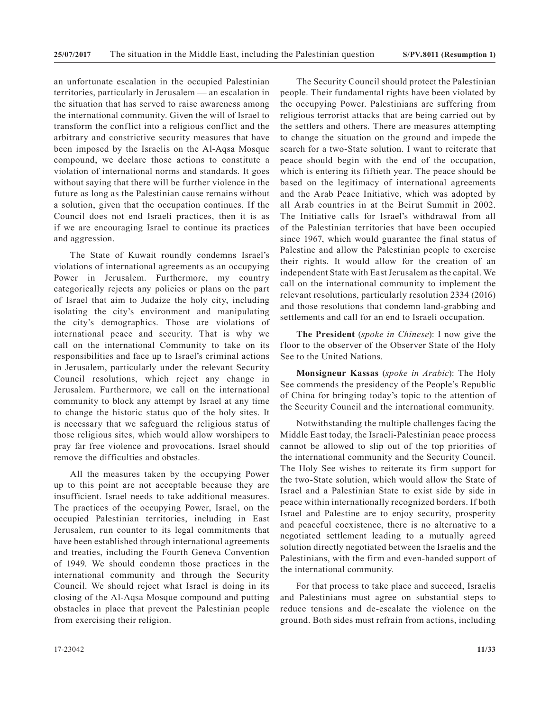an unfortunate escalation in the occupied Palestinian territories, particularly in Jerusalem — an escalation in the situation that has served to raise awareness among the international community. Given the will of Israel to transform the conflict into a religious conflict and the arbitrary and constrictive security measures that have been imposed by the Israelis on the Al-Aqsa Mosque compound, we declare those actions to constitute a violation of international norms and standards. It goes without saying that there will be further violence in the future as long as the Palestinian cause remains without a solution, given that the occupation continues. If the Council does not end Israeli practices, then it is as if we are encouraging Israel to continue its practices and aggression.

The State of Kuwait roundly condemns Israel's violations of international agreements as an occupying Power in Jerusalem. Furthermore, my country categorically rejects any policies or plans on the part of Israel that aim to Judaize the holy city, including isolating the city's environment and manipulating the city's demographics. Those are violations of international peace and security. That is why we call on the international Community to take on its responsibilities and face up to Israel's criminal actions in Jerusalem, particularly under the relevant Security Council resolutions, which reject any change in Jerusalem. Furthermore, we call on the international community to block any attempt by Israel at any time to change the historic status quo of the holy sites. It is necessary that we safeguard the religious status of those religious sites, which would allow worshipers to pray far free violence and provocations. Israel should remove the difficulties and obstacles.

All the measures taken by the occupying Power up to this point are not acceptable because they are insufficient. Israel needs to take additional measures. The practices of the occupying Power, Israel, on the occupied Palestinian territories, including in East Jerusalem, run counter to its legal commitments that have been established through international agreements and treaties, including the Fourth Geneva Convention of 1949. We should condemn those practices in the international community and through the Security Council. We should reject what Israel is doing in its closing of the Al-Aqsa Mosque compound and putting obstacles in place that prevent the Palestinian people from exercising their religion.

The Security Council should protect the Palestinian people. Their fundamental rights have been violated by the occupying Power. Palestinians are suffering from religious terrorist attacks that are being carried out by the settlers and others. There are measures attempting to change the situation on the ground and impede the search for a two-State solution. I want to reiterate that peace should begin with the end of the occupation, which is entering its fiftieth year. The peace should be based on the legitimacy of international agreements and the Arab Peace Initiative, which was adopted by all Arab countries in at the Beirut Summit in 2002. The Initiative calls for Israel's withdrawal from all of the Palestinian territories that have been occupied since 1967, which would guarantee the final status of Palestine and allow the Palestinian people to exercise their rights. It would allow for the creation of an independent State with East Jerusalem as the capital. We call on the international community to implement the relevant resolutions, particularly resolution 2334 (2016) and those resolutions that condemn land-grabbing and settlements and call for an end to Israeli occupation.

**The President** (*spoke in Chinese*): I now give the floor to the observer of the Observer State of the Holy See to the United Nations.

**Monsigneur Kassas** (*spoke in Arabic*): The Holy See commends the presidency of the People's Republic of China for bringing today's topic to the attention of the Security Council and the international community.

Notwithstanding the multiple challenges facing the Middle East today, the Israeli-Palestinian peace process cannot be allowed to slip out of the top priorities of the international community and the Security Council. The Holy See wishes to reiterate its firm support for the two-State solution, which would allow the State of Israel and a Palestinian State to exist side by side in peace within internationally recognized borders. If both Israel and Palestine are to enjoy security, prosperity and peaceful coexistence, there is no alternative to a negotiated settlement leading to a mutually agreed solution directly negotiated between the Israelis and the Palestinians, with the firm and even-handed support of the international community.

For that process to take place and succeed, Israelis and Palestinians must agree on substantial steps to reduce tensions and de-escalate the violence on the ground. Both sides must refrain from actions, including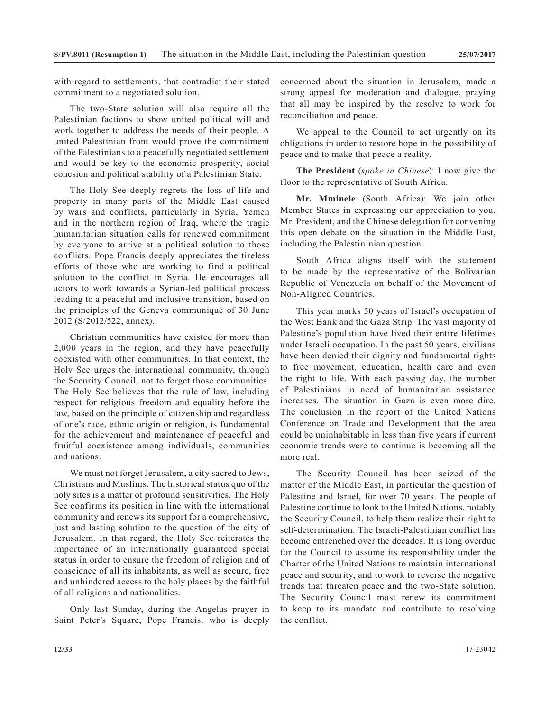with regard to settlements, that contradict their stated commitment to a negotiated solution.

The two-State solution will also require all the Palestinian factions to show united political will and work together to address the needs of their people. A united Palestinian front would prove the commitment of the Palestinians to a peacefully negotiated settlement and would be key to the economic prosperity, social cohesion and political stability of a Palestinian State.

The Holy See deeply regrets the loss of life and property in many parts of the Middle East caused by wars and conflicts, particularly in Syria, Yemen and in the northern region of Iraq, where the tragic humanitarian situation calls for renewed commitment by everyone to arrive at a political solution to those conflicts. Pope Francis deeply appreciates the tireless efforts of those who are working to find a political solution to the conflict in Syria. He encourages all actors to work towards a Syrian-led political process leading to a peaceful and inclusive transition, based on the principles of the Geneva communiqué of 30 June 2012 (S/2012/522, annex).

Christian communities have existed for more than 2,000 years in the region, and they have peacefully coexisted with other communities. In that context, the Holy See urges the international community, through the Security Council, not to forget those communities. The Holy See believes that the rule of law, including respect for religious freedom and equality before the law, based on the principle of citizenship and regardless of one's race, ethnic origin or religion, is fundamental for the achievement and maintenance of peaceful and fruitful coexistence among individuals, communities and nations.

We must not forget Jerusalem, a city sacred to Jews, Christians and Muslims. The historical status quo of the holy sites is a matter of profound sensitivities. The Holy See confirms its position in line with the international community and renews its support for a comprehensive, just and lasting solution to the question of the city of Jerusalem. In that regard, the Holy See reiterates the importance of an internationally guaranteed special status in order to ensure the freedom of religion and of conscience of all its inhabitants, as well as secure, free and unhindered access to the holy places by the faithful of all religions and nationalities.

Only last Sunday, during the Angelus prayer in Saint Peter's Square, Pope Francis, who is deeply concerned about the situation in Jerusalem, made a strong appeal for moderation and dialogue, praying that all may be inspired by the resolve to work for reconciliation and peace.

We appeal to the Council to act urgently on its obligations in order to restore hope in the possibility of peace and to make that peace a reality.

**The President** (*spoke in Chinese*): I now give the floor to the representative of South Africa.

**Mr. Mminele** (South Africa): We join other Member States in expressing our appreciation to you, Mr. President, and the Chinese delegation for convening this open debate on the situation in the Middle East, including the Palestininian question.

South Africa aligns itself with the statement to be made by the representative of the Bolivarian Republic of Venezuela on behalf of the Movement of Non-Aligned Countries.

This year marks 50 years of Israel's occupation of the West Bank and the Gaza Strip. The vast majority of Palestine's population have lived their entire lifetimes under Israeli occupation. In the past 50 years, civilians have been denied their dignity and fundamental rights to free movement, education, health care and even the right to life. With each passing day, the number of Palestinians in need of humanitarian assistance increases. The situation in Gaza is even more dire. The conclusion in the report of the United Nations Conference on Trade and Development that the area could be uninhabitable in less than five years if current economic trends were to continue is becoming all the more real.

The Security Council has been seized of the matter of the Middle East, in particular the question of Palestine and Israel, for over 70 years. The people of Palestine continue to look to the United Nations, notably the Security Council, to help them realize their right to self-determination. The Israeli-Palestinian conflict has become entrenched over the decades. It is long overdue for the Council to assume its responsibility under the Charter of the United Nations to maintain international peace and security, and to work to reverse the negative trends that threaten peace and the two-State solution. The Security Council must renew its commitment to keep to its mandate and contribute to resolving the conflict.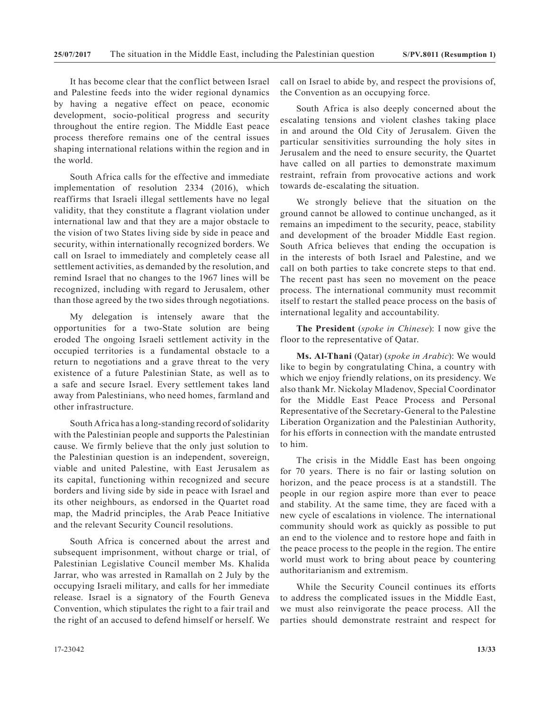It has become clear that the conflict between Israel and Palestine feeds into the wider regional dynamics by having a negative effect on peace, economic development, socio-political progress and security throughout the entire region. The Middle East peace process therefore remains one of the central issues shaping international relations within the region and in the world.

South Africa calls for the effective and immediate implementation of resolution 2334 (2016), which reaffirms that Israeli illegal settlements have no legal validity, that they constitute a flagrant violation under international law and that they are a major obstacle to the vision of two States living side by side in peace and security, within internationally recognized borders. We call on Israel to immediately and completely cease all settlement activities, as demanded by the resolution, and remind Israel that no changes to the 1967 lines will be recognized, including with regard to Jerusalem, other than those agreed by the two sides through negotiations.

My delegation is intensely aware that the opportunities for a two-State solution are being eroded The ongoing Israeli settlement activity in the occupied territories is a fundamental obstacle to a return to negotiations and a grave threat to the very existence of a future Palestinian State, as well as to a safe and secure Israel. Every settlement takes land away from Palestinians, who need homes, farmland and other infrastructure.

South Africa has a long-standing record of solidarity with the Palestinian people and supports the Palestinian cause. We firmly believe that the only just solution to the Palestinian question is an independent, sovereign, viable and united Palestine, with East Jerusalem as its capital, functioning within recognized and secure borders and living side by side in peace with Israel and its other neighbours, as endorsed in the Quartet road map, the Madrid principles, the Arab Peace Initiative and the relevant Security Council resolutions.

South Africa is concerned about the arrest and subsequent imprisonment, without charge or trial, of Palestinian Legislative Council member Ms. Khalida Jarrar, who was arrested in Ramallah on 2 July by the occupying Israeli military, and calls for her immediate release. Israel is a signatory of the Fourth Geneva Convention, which stipulates the right to a fair trail and the right of an accused to defend himself or herself. We call on Israel to abide by, and respect the provisions of, the Convention as an occupying force.

South Africa is also deeply concerned about the escalating tensions and violent clashes taking place in and around the Old City of Jerusalem. Given the particular sensitivities surrounding the holy sites in Jerusalem and the need to ensure security, the Quartet have called on all parties to demonstrate maximum restraint, refrain from provocative actions and work towards de-escalating the situation.

We strongly believe that the situation on the ground cannot be allowed to continue unchanged, as it remains an impediment to the security, peace, stability and development of the broader Middle East region. South Africa believes that ending the occupation is in the interests of both Israel and Palestine, and we call on both parties to take concrete steps to that end. The recent past has seen no movement on the peace process. The international community must recommit itself to restart the stalled peace process on the basis of international legality and accountability.

**The President** (*spoke in Chinese*): I now give the floor to the representative of Qatar.

**Ms. Al-Thani** (Qatar) (*spoke in Arabic*): We would like to begin by congratulating China, a country with which we enjoy friendly relations, on its presidency. We also thank Mr. Nickolay Mladenov, Special Coordinator for the Middle East Peace Process and Personal Representative of the Secretary-General to the Palestine Liberation Organization and the Palestinian Authority, for his efforts in connection with the mandate entrusted to him.

The crisis in the Middle East has been ongoing for 70 years. There is no fair or lasting solution on horizon, and the peace process is at a standstill. The people in our region aspire more than ever to peace and stability. At the same time, they are faced with a new cycle of escalations in violence. The international community should work as quickly as possible to put an end to the violence and to restore hope and faith in the peace process to the people in the region. The entire world must work to bring about peace by countering authoritarianism and extremism.

While the Security Council continues its efforts to address the complicated issues in the Middle East, we must also reinvigorate the peace process. All the parties should demonstrate restraint and respect for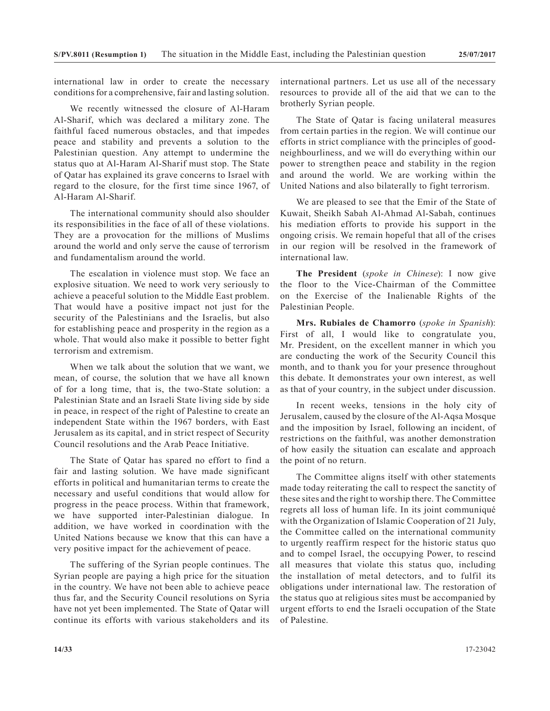international law in order to create the necessary conditions for a comprehensive, fair and lasting solution.

We recently witnessed the closure of Al-Haram Al-Sharif, which was declared a military zone. The faithful faced numerous obstacles, and that impedes peace and stability and prevents a solution to the Palestinian question. Any attempt to undermine the status quo at Al-Haram Al-Sharif must stop. The State of Qatar has explained its grave concerns to Israel with regard to the closure, for the first time since 1967, of Al-Haram Al-Sharif.

The international community should also shoulder its responsibilities in the face of all of these violations. They are a provocation for the millions of Muslims around the world and only serve the cause of terrorism and fundamentalism around the world.

The escalation in violence must stop. We face an explosive situation. We need to work very seriously to achieve a peaceful solution to the Middle East problem. That would have a positive impact not just for the security of the Palestinians and the Israelis, but also for establishing peace and prosperity in the region as a whole. That would also make it possible to better fight terrorism and extremism.

When we talk about the solution that we want, we mean, of course, the solution that we have all known of for a long time, that is, the two-State solution: a Palestinian State and an Israeli State living side by side in peace, in respect of the right of Palestine to create an independent State within the 1967 borders, with East Jerusalem as its capital, and in strict respect of Security Council resolutions and the Arab Peace Initiative.

The State of Qatar has spared no effort to find a fair and lasting solution. We have made significant efforts in political and humanitarian terms to create the necessary and useful conditions that would allow for progress in the peace process. Within that framework, we have supported inter-Palestinian dialogue. In addition, we have worked in coordination with the United Nations because we know that this can have a very positive impact for the achievement of peace.

The suffering of the Syrian people continues. The Syrian people are paying a high price for the situation in the country. We have not been able to achieve peace thus far, and the Security Council resolutions on Syria have not yet been implemented. The State of Qatar will continue its efforts with various stakeholders and its international partners. Let us use all of the necessary resources to provide all of the aid that we can to the brotherly Syrian people.

The State of Qatar is facing unilateral measures from certain parties in the region. We will continue our efforts in strict compliance with the principles of goodneighbourliness, and we will do everything within our power to strengthen peace and stability in the region and around the world. We are working within the United Nations and also bilaterally to fight terrorism.

We are pleased to see that the Emir of the State of Kuwait, Sheikh Sabah Al-Ahmad Al-Sabah, continues his mediation efforts to provide his support in the ongoing crisis. We remain hopeful that all of the crises in our region will be resolved in the framework of international law.

**The President** (*spoke in Chinese*): I now give the floor to the Vice-Chairman of the Committee on the Exercise of the Inalienable Rights of the Palestinian People.

**Mrs. Rubiales de Chamorro** (*spoke in Spanish*): First of all, I would like to congratulate you, Mr. President, on the excellent manner in which you are conducting the work of the Security Council this month, and to thank you for your presence throughout this debate. It demonstrates your own interest, as well as that of your country, in the subject under discussion.

In recent weeks, tensions in the holy city of Jerusalem, caused by the closure of the Al-Aqsa Mosque and the imposition by Israel, following an incident, of restrictions on the faithful, was another demonstration of how easily the situation can escalate and approach the point of no return.

The Committee aligns itself with other statements made today reiterating the call to respect the sanctity of these sites and the right to worship there. The Committee regrets all loss of human life. In its joint communiqué with the Organization of Islamic Cooperation of 21 July, the Committee called on the international community to urgently reaffirm respect for the historic status quo and to compel Israel, the occupying Power, to rescind all measures that violate this status quo, including the installation of metal detectors, and to fulfil its obligations under international law. The restoration of the status quo at religious sites must be accompanied by urgent efforts to end the Israeli occupation of the State of Palestine.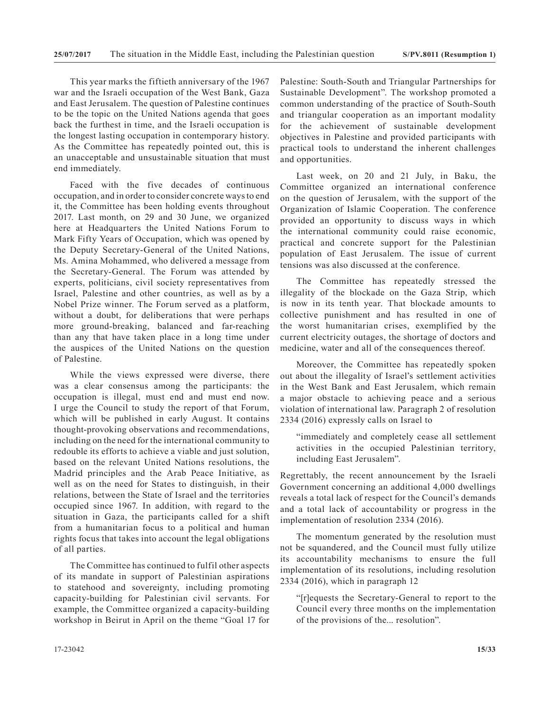This year marks the fiftieth anniversary of the 1967 war and the Israeli occupation of the West Bank, Gaza and East Jerusalem. The question of Palestine continues to be the topic on the United Nations agenda that goes back the furthest in time, and the Israeli occupation is the longest lasting occupation in contemporary history. As the Committee has repeatedly pointed out, this is an unacceptable and unsustainable situation that must end immediately.

Faced with the five decades of continuous occupation, and in order to consider concrete ways to end it, the Committee has been holding events throughout 2017. Last month, on 29 and 30 June, we organized here at Headquarters the United Nations Forum to Mark Fifty Years of Occupation, which was opened by the Deputy Secretary-General of the United Nations, Ms. Amina Mohammed, who delivered a message from the Secretary-General. The Forum was attended by experts, politicians, civil society representatives from Israel, Palestine and other countries, as well as by a Nobel Prize winner. The Forum served as a platform, without a doubt, for deliberations that were perhaps more ground-breaking, balanced and far-reaching than any that have taken place in a long time under the auspices of the United Nations on the question of Palestine.

While the views expressed were diverse, there was a clear consensus among the participants: the occupation is illegal, must end and must end now. I urge the Council to study the report of that Forum, which will be published in early August. It contains thought-provoking observations and recommendations, including on the need for the international community to redouble its efforts to achieve a viable and just solution, based on the relevant United Nations resolutions, the Madrid principles and the Arab Peace Initiative, as well as on the need for States to distinguish, in their relations, between the State of Israel and the territories occupied since 1967. In addition, with regard to the situation in Gaza, the participants called for a shift from a humanitarian focus to a political and human rights focus that takes into account the legal obligations of all parties.

The Committee has continued to fulfil other aspects of its mandate in support of Palestinian aspirations to statehood and sovereignty, including promoting capacity-building for Palestinian civil servants. For example, the Committee organized a capacity-building workshop in Beirut in April on the theme "Goal 17 for

Palestine: South-South and Triangular Partnerships for Sustainable Development". The workshop promoted a common understanding of the practice of South-South and triangular cooperation as an important modality for the achievement of sustainable development objectives in Palestine and provided participants with practical tools to understand the inherent challenges and opportunities.

Last week, on 20 and 21 July, in Baku, the Committee organized an international conference on the question of Jerusalem, with the support of the Organization of Islamic Cooperation. The conference provided an opportunity to discuss ways in which the international community could raise economic, practical and concrete support for the Palestinian population of East Jerusalem. The issue of current tensions was also discussed at the conference.

The Committee has repeatedly stressed the illegality of the blockade on the Gaza Strip, which is now in its tenth year. That blockade amounts to collective punishment and has resulted in one of the worst humanitarian crises, exemplified by the current electricity outages, the shortage of doctors and medicine, water and all of the consequences thereof.

Moreover, the Committee has repeatedly spoken out about the illegality of Israel's settlement activities in the West Bank and East Jerusalem, which remain a major obstacle to achieving peace and a serious violation of international law. Paragraph 2 of resolution 2334 (2016) expressly calls on Israel to

"immediately and completely cease all settlement activities in the occupied Palestinian territory, including East Jerusalem".

Regrettably, the recent announcement by the Israeli Government concerning an additional 4,000 dwellings reveals a total lack of respect for the Council's demands and a total lack of accountability or progress in the implementation of resolution 2334 (2016).

The momentum generated by the resolution must not be squandered, and the Council must fully utilize its accountability mechanisms to ensure the full implementation of its resolutions, including resolution 2334 (2016), which in paragraph 12

"[r]equests the Secretary-General to report to the Council every three months on the implementation of the provisions of the... resolution".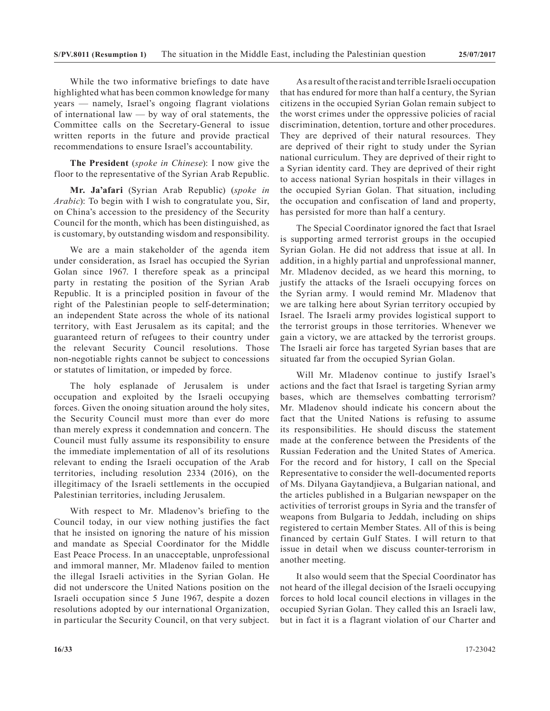While the two informative briefings to date have highlighted what has been common knowledge for many years — namely, Israel's ongoing flagrant violations of international law — by way of oral statements, the Committee calls on the Secretary-General to issue written reports in the future and provide practical recommendations to ensure Israel's accountability.

**The President** (*spoke in Chinese*): I now give the floor to the representative of the Syrian Arab Republic.

**Mr. Ja'afari** (Syrian Arab Republic) (*spoke in Arabic*): To begin with I wish to congratulate you, Sir, on China's accession to the presidency of the Security Council for the month, which has been distinguished, as is customary, by outstanding wisdom and responsibility.

We are a main stakeholder of the agenda item under consideration, as Israel has occupied the Syrian Golan since 1967. I therefore speak as a principal party in restating the position of the Syrian Arab Republic. It is a principled position in favour of the right of the Palestinian people to self-determination; an independent State across the whole of its national territory, with East Jerusalem as its capital; and the guaranteed return of refugees to their country under the relevant Security Council resolutions. Those non-negotiable rights cannot be subject to concessions or statutes of limitation, or impeded by force.

The holy esplanade of Jerusalem is under occupation and exploited by the Israeli occupying forces. Given the onoing situation around the holy sites, the Security Council must more than ever do more than merely express it condemnation and concern. The Council must fully assume its responsibility to ensure the immediate implementation of all of its resolutions relevant to ending the Israeli occupation of the Arab territories, including resolution 2334 (2016), on the illegitimacy of the Israeli settlements in the occupied Palestinian territories, including Jerusalem.

With respect to Mr. Mladenov's briefing to the Council today, in our view nothing justifies the fact that he insisted on ignoring the nature of his mission and mandate as Special Coordinator for the Middle East Peace Process. In an unacceptable, unprofessional and immoral manner, Mr. Mladenov failed to mention the illegal Israeli activities in the Syrian Golan. He did not underscore the United Nations position on the Israeli occupation since 5 June 1967, despite a dozen resolutions adopted by our international Organization, in particular the Security Council, on that very subject.

As a result of the racist and terrible Israeli occupation that has endured for more than half a century, the Syrian citizens in the occupied Syrian Golan remain subject to the worst crimes under the oppressive policies of racial discrimination, detention, torture and other procedures. They are deprived of their natural resources. They are deprived of their right to study under the Syrian national curriculum. They are deprived of their right to a Syrian identity card. They are deprived of their right to access national Syrian hospitals in their villages in the occupied Syrian Golan. That situation, including the occupation and confiscation of land and property, has persisted for more than half a century.

The Special Coordinator ignored the fact that Israel is supporting armed terrorist groups in the occupied Syrian Golan. He did not address that issue at all. In addition, in a highly partial and unprofessional manner, Mr. Mladenov decided, as we heard this morning, to justify the attacks of the Israeli occupying forces on the Syrian army. I would remind Mr. Mladenov that we are talking here about Syrian territory occupied by Israel. The Israeli army provides logistical support to the terrorist groups in those territories. Whenever we gain a victory, we are attacked by the terrorist groups. The Israeli air force has targeted Syrian bases that are situated far from the occupied Syrian Golan.

Will Mr. Mladenov continue to justify Israel's actions and the fact that Israel is targeting Syrian army bases, which are themselves combatting terrorism? Mr. Mladenov should indicate his concern about the fact that the United Nations is refusing to assume its responsibilities. He should discuss the statement made at the conference between the Presidents of the Russian Federation and the United States of America. For the record and for history, I call on the Special Representative to consider the well-documented reports of Ms. Dilyana Gaytandjieva, a Bulgarian national, and the articles published in a Bulgarian newspaper on the activities of terrorist groups in Syria and the transfer of weapons from Bulgaria to Jeddah, including on ships registered to certain Member States. All of this is being financed by certain Gulf States. I will return to that issue in detail when we discuss counter-terrorism in another meeting.

It also would seem that the Special Coordinator has not heard of the illegal decision of the Israeli occupying forces to hold local council elections in villages in the occupied Syrian Golan. They called this an Israeli law, but in fact it is a flagrant violation of our Charter and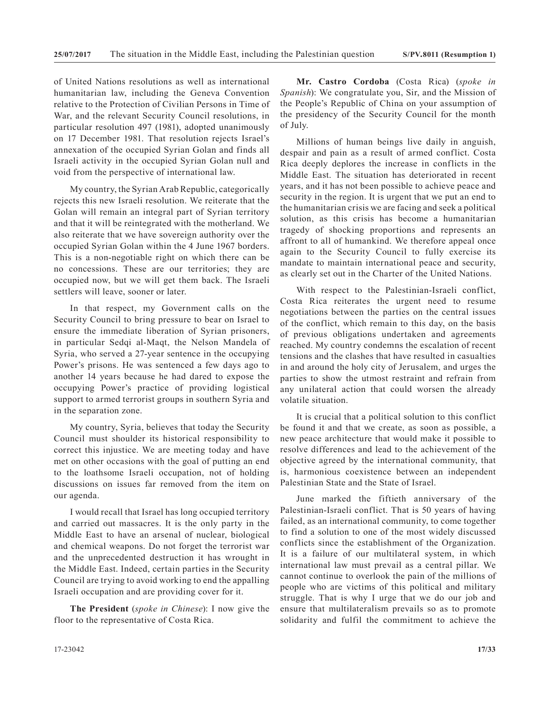of United Nations resolutions as well as international humanitarian law, including the Geneva Convention relative to the Protection of Civilian Persons in Time of War, and the relevant Security Council resolutions, in particular resolution 497 (1981), adopted unanimously on 17 December 1981. That resolution rejects Israel's annexation of the occupied Syrian Golan and finds all Israeli activity in the occupied Syrian Golan null and void from the perspective of international law.

My country, the Syrian Arab Republic, categorically rejects this new Israeli resolution. We reiterate that the Golan will remain an integral part of Syrian territory and that it will be reintegrated with the motherland. We also reiterate that we have sovereign authority over the occupied Syrian Golan within the 4 June 1967 borders. This is a non-negotiable right on which there can be no concessions. These are our territories; they are occupied now, but we will get them back. The Israeli settlers will leave, sooner or later.

In that respect, my Government calls on the Security Council to bring pressure to bear on Israel to ensure the immediate liberation of Syrian prisoners, in particular Sedqi al-Maqt, the Nelson Mandela of Syria, who served a 27-year sentence in the occupying Power's prisons. He was sentenced a few days ago to another 14 years because he had dared to expose the occupying Power's practice of providing logistical support to armed terrorist groups in southern Syria and in the separation zone.

My country, Syria, believes that today the Security Council must shoulder its historical responsibility to correct this injustice. We are meeting today and have met on other occasions with the goal of putting an end to the loathsome Israeli occupation, not of holding discussions on issues far removed from the item on our agenda.

I would recall that Israel has long occupied territory and carried out massacres. It is the only party in the Middle East to have an arsenal of nuclear, biological and chemical weapons. Do not forget the terrorist war and the unprecedented destruction it has wrought in the Middle East. Indeed, certain parties in the Security Council are trying to avoid working to end the appalling Israeli occupation and are providing cover for it.

**The President** (*spoke in Chinese*): I now give the floor to the representative of Costa Rica.

**Mr. Castro Cordoba** (Costa Rica) (*spoke in Spanish*): We congratulate you, Sir, and the Mission of the People's Republic of China on your assumption of the presidency of the Security Council for the month of July.

Millions of human beings live daily in anguish, despair and pain as a result of armed conflict. Costa Rica deeply deplores the increase in conflicts in the Middle East. The situation has deteriorated in recent years, and it has not been possible to achieve peace and security in the region. It is urgent that we put an end to the humanitarian crisis we are facing and seek a political solution, as this crisis has become a humanitarian tragedy of shocking proportions and represents an affront to all of humankind. We therefore appeal once again to the Security Council to fully exercise its mandate to maintain international peace and security, as clearly set out in the Charter of the United Nations.

With respect to the Palestinian-Israeli conflict, Costa Rica reiterates the urgent need to resume negotiations between the parties on the central issues of the conflict, which remain to this day, on the basis of previous obligations undertaken and agreements reached. My country condemns the escalation of recent tensions and the clashes that have resulted in casualties in and around the holy city of Jerusalem, and urges the parties to show the utmost restraint and refrain from any unilateral action that could worsen the already volatile situation.

It is crucial that a political solution to this conflict be found it and that we create, as soon as possible, a new peace architecture that would make it possible to resolve differences and lead to the achievement of the objective agreed by the international community, that is, harmonious coexistence between an independent Palestinian State and the State of Israel.

June marked the fiftieth anniversary of the Palestinian-Israeli conflict. That is 50 years of having failed, as an international community, to come together to find a solution to one of the most widely discussed conflicts since the establishment of the Organization. It is a failure of our multilateral system, in which international law must prevail as a central pillar. We cannot continue to overlook the pain of the millions of people who are victims of this political and military struggle. That is why I urge that we do our job and ensure that multilateralism prevails so as to promote solidarity and fulfil the commitment to achieve the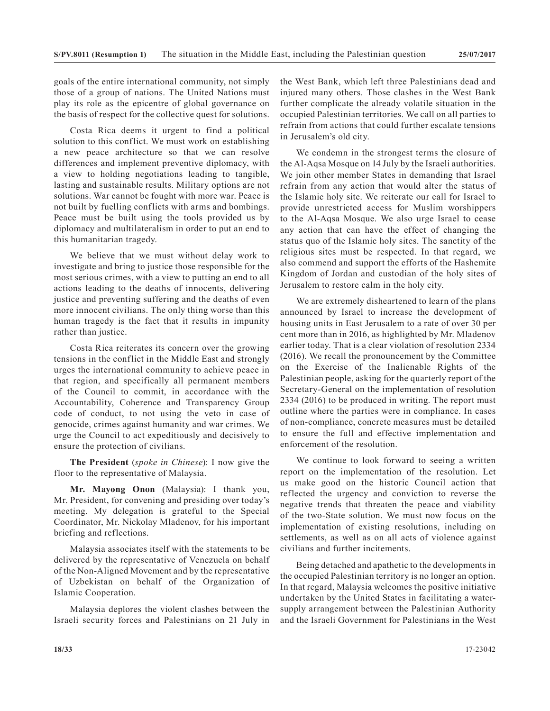goals of the entire international community, not simply those of a group of nations. The United Nations must play its role as the epicentre of global governance on the basis of respect for the collective quest for solutions.

Costa Rica deems it urgent to find a political solution to this conflict. We must work on establishing a new peace architecture so that we can resolve differences and implement preventive diplomacy, with a view to holding negotiations leading to tangible, lasting and sustainable results. Military options are not solutions. War cannot be fought with more war. Peace is not built by fuelling conflicts with arms and bombings. Peace must be built using the tools provided us by diplomacy and multilateralism in order to put an end to this humanitarian tragedy.

We believe that we must without delay work to investigate and bring to justice those responsible for the most serious crimes, with a view to putting an end to all actions leading to the deaths of innocents, delivering justice and preventing suffering and the deaths of even more innocent civilians. The only thing worse than this human tragedy is the fact that it results in impunity rather than justice.

Costa Rica reiterates its concern over the growing tensions in the conflict in the Middle East and strongly urges the international community to achieve peace in that region, and specifically all permanent members of the Council to commit, in accordance with the Accountability, Coherence and Transparency Group code of conduct, to not using the veto in case of genocide, crimes against humanity and war crimes. We urge the Council to act expeditiously and decisively to ensure the protection of civilians.

**The President** (*spoke in Chinese*): I now give the floor to the representative of Malaysia.

**Mr. Mayong Onon** (Malaysia): I thank you, Mr. President, for convening and presiding over today's meeting. My delegation is grateful to the Special Coordinator, Mr. Nickolay Mladenov, for his important briefing and reflections.

Malaysia associates itself with the statements to be delivered by the representative of Venezuela on behalf of the Non-Aligned Movement and by the representative of Uzbekistan on behalf of the Organization of Islamic Cooperation.

Malaysia deplores the violent clashes between the Israeli security forces and Palestinians on 21 July in the West Bank, which left three Palestinians dead and injured many others. Those clashes in the West Bank further complicate the already volatile situation in the occupied Palestinian territories. We call on all parties to refrain from actions that could further escalate tensions in Jerusalem's old city.

We condemn in the strongest terms the closure of the Al-Aqsa Mosque on 14 July by the Israeli authorities. We join other member States in demanding that Israel refrain from any action that would alter the status of the Islamic holy site. We reiterate our call for Israel to provide unrestricted access for Muslim worshippers to the Al-Aqsa Mosque. We also urge Israel to cease any action that can have the effect of changing the status quo of the Islamic holy sites. The sanctity of the religious sites must be respected. In that regard, we also commend and support the efforts of the Hashemite Kingdom of Jordan and custodian of the holy sites of Jerusalem to restore calm in the holy city.

We are extremely disheartened to learn of the plans announced by Israel to increase the development of housing units in East Jerusalem to a rate of over 30 per cent more than in 2016, as highlighted by Mr. Mladenov earlier today. That is a clear violation of resolution 2334 (2016). We recall the pronouncement by the Committee on the Exercise of the Inalienable Rights of the Palestinian people, asking for the quarterly report of the Secretary-General on the implementation of resolution 2334 (2016) to be produced in writing. The report must outline where the parties were in compliance. In cases of non-compliance, concrete measures must be detailed to ensure the full and effective implementation and enforcement of the resolution.

We continue to look forward to seeing a written report on the implementation of the resolution. Let us make good on the historic Council action that reflected the urgency and conviction to reverse the negative trends that threaten the peace and viability of the two-State solution. We must now focus on the implementation of existing resolutions, including on settlements, as well as on all acts of violence against civilians and further incitements.

Being detached and apathetic to the developments in the occupied Palestinian territory is no longer an option. In that regard, Malaysia welcomes the positive initiative undertaken by the United States in facilitating a watersupply arrangement between the Palestinian Authority and the Israeli Government for Palestinians in the West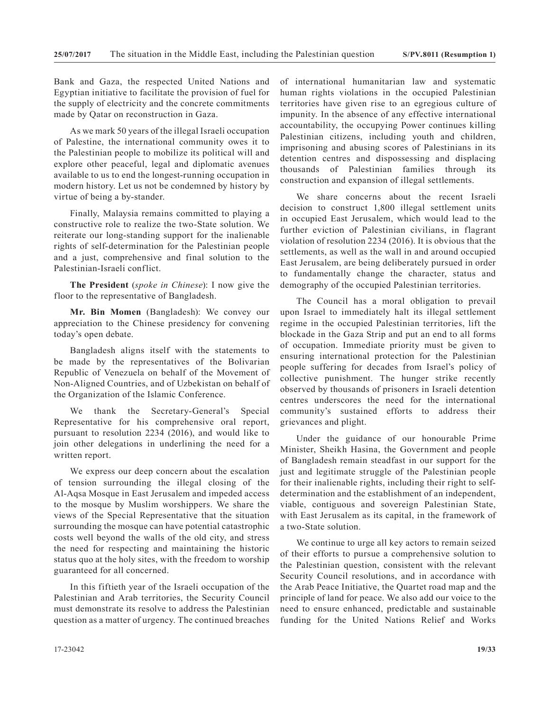Bank and Gaza, the respected United Nations and Egyptian initiative to facilitate the provision of fuel for the supply of electricity and the concrete commitments made by Qatar on reconstruction in Gaza.

As we mark 50 years of the illegal Israeli occupation of Palestine, the international community owes it to the Palestinian people to mobilize its political will and explore other peaceful, legal and diplomatic avenues available to us to end the longest-running occupation in modern history. Let us not be condemned by history by virtue of being a by-stander.

Finally, Malaysia remains committed to playing a constructive role to realize the two-State solution. We reiterate our long-standing support for the inalienable rights of self-determination for the Palestinian people and a just, comprehensive and final solution to the Palestinian-Israeli conflict.

**The President** (*spoke in Chinese*): I now give the floor to the representative of Bangladesh.

**Mr. Bin Momen** (Bangladesh): We convey our appreciation to the Chinese presidency for convening today's open debate.

Bangladesh aligns itself with the statements to be made by the representatives of the Bolivarian Republic of Venezuela on behalf of the Movement of Non-Aligned Countries, and of Uzbekistan on behalf of the Organization of the Islamic Conference.

We thank the Secretary-General's Special Representative for his comprehensive oral report, pursuant to resolution 2234 (2016), and would like to join other delegations in underlining the need for a written report.

We express our deep concern about the escalation of tension surrounding the illegal closing of the Al-Aqsa Mosque in East Jerusalem and impeded access to the mosque by Muslim worshippers. We share the views of the Special Representative that the situation surrounding the mosque can have potential catastrophic costs well beyond the walls of the old city, and stress the need for respecting and maintaining the historic status quo at the holy sites, with the freedom to worship guaranteed for all concerned.

In this fiftieth year of the Israeli occupation of the Palestinian and Arab territories, the Security Council must demonstrate its resolve to address the Palestinian question as a matter of urgency. The continued breaches of international humanitarian law and systematic human rights violations in the occupied Palestinian territories have given rise to an egregious culture of impunity. In the absence of any effective international accountability, the occupying Power continues killing Palestinian citizens, including youth and children, imprisoning and abusing scores of Palestinians in its detention centres and dispossessing and displacing thousands of Palestinian families through its construction and expansion of illegal settlements.

We share concerns about the recent Israeli decision to construct 1,800 illegal settlement units in occupied East Jerusalem, which would lead to the further eviction of Palestinian civilians, in flagrant violation of resolution 2234 (2016). It is obvious that the settlements, as well as the wall in and around occupied East Jerusalem, are being deliberately pursued in order to fundamentally change the character, status and demography of the occupied Palestinian territories.

The Council has a moral obligation to prevail upon Israel to immediately halt its illegal settlement regime in the occupied Palestinian territories, lift the blockade in the Gaza Strip and put an end to all forms of occupation. Immediate priority must be given to ensuring international protection for the Palestinian people suffering for decades from Israel's policy of collective punishment. The hunger strike recently observed by thousands of prisoners in Israeli detention centres underscores the need for the international community's sustained efforts to address their grievances and plight.

Under the guidance of our honourable Prime Minister, Sheikh Hasina, the Government and people of Bangladesh remain steadfast in our support for the just and legitimate struggle of the Palestinian people for their inalienable rights, including their right to selfdetermination and the establishment of an independent, viable, contiguous and sovereign Palestinian State, with East Jerusalem as its capital, in the framework of a two-State solution.

We continue to urge all key actors to remain seized of their efforts to pursue a comprehensive solution to the Palestinian question, consistent with the relevant Security Council resolutions, and in accordance with the Arab Peace Initiative, the Quartet road map and the principle of land for peace. We also add our voice to the need to ensure enhanced, predictable and sustainable funding for the United Nations Relief and Works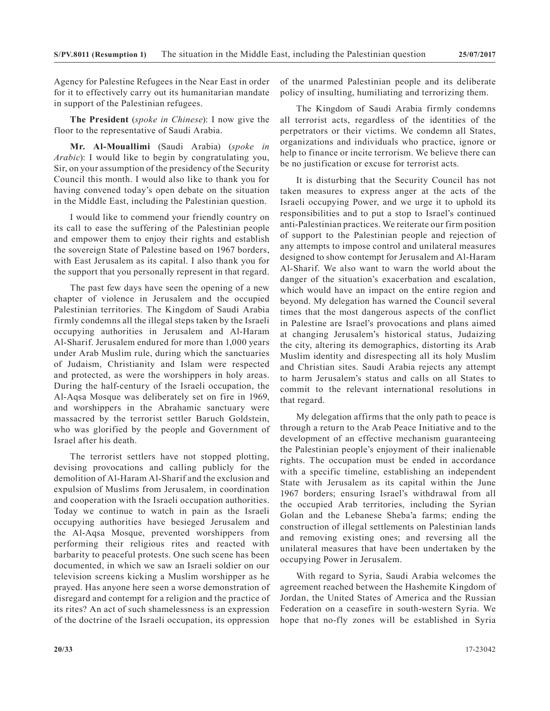Agency for Palestine Refugees in the Near East in order for it to effectively carry out its humanitarian mandate in support of the Palestinian refugees.

**The President** (*spoke in Chinese*): I now give the floor to the representative of Saudi Arabia.

**Mr. Al-Mouallimi** (Saudi Arabia) (*spoke in Arabic*): I would like to begin by congratulating you, Sir, on your assumption of the presidency of the Security Council this month. I would also like to thank you for having convened today's open debate on the situation in the Middle East, including the Palestinian question.

I would like to commend your friendly country on its call to ease the suffering of the Palestinian people and empower them to enjoy their rights and establish the sovereign State of Palestine based on 1967 borders, with East Jerusalem as its capital. I also thank you for the support that you personally represent in that regard.

The past few days have seen the opening of a new chapter of violence in Jerusalem and the occupied Palestinian territories. The Kingdom of Saudi Arabia firmly condemns all the illegal steps taken by the Israeli occupying authorities in Jerusalem and Al-Haram Al-Sharif. Jerusalem endured for more than 1,000 years under Arab Muslim rule, during which the sanctuaries of Judaism, Christianity and Islam were respected and protected, as were the worshippers in holy areas. During the half-century of the Israeli occupation, the Al-Aqsa Mosque was deliberately set on fire in 1969, and worshippers in the Abrahamic sanctuary were massacred by the terrorist settler Baruch Goldstein, who was glorified by the people and Government of Israel after his death.

The terrorist settlers have not stopped plotting, devising provocations and calling publicly for the demolition of Al-Haram Al-Sharif and the exclusion and expulsion of Muslims from Jerusalem, in coordination and cooperation with the Israeli occupation authorities. Today we continue to watch in pain as the Israeli occupying authorities have besieged Jerusalem and the Al-Aqsa Mosque, prevented worshippers from performing their religious rites and reacted with barbarity to peaceful protests. One such scene has been documented, in which we saw an Israeli soldier on our television screens kicking a Muslim worshipper as he prayed. Has anyone here seen a worse demonstration of disregard and contempt for a religion and the practice of its rites? An act of such shamelessness is an expression of the doctrine of the Israeli occupation, its oppression

of the unarmed Palestinian people and its deliberate policy of insulting, humiliating and terrorizing them.

The Kingdom of Saudi Arabia firmly condemns all terrorist acts, regardless of the identities of the perpetrators or their victims. We condemn all States, organizations and individuals who practice, ignore or help to finance or incite terrorism. We believe there can be no justification or excuse for terrorist acts.

It is disturbing that the Security Council has not taken measures to express anger at the acts of the Israeli occupying Power, and we urge it to uphold its responsibilities and to put a stop to Israel's continued anti-Palestinian practices. We reiterate our firm position of support to the Palestinian people and rejection of any attempts to impose control and unilateral measures designed to show contempt for Jerusalem and Al-Haram Al-Sharif. We also want to warn the world about the danger of the situation's exacerbation and escalation, which would have an impact on the entire region and beyond. My delegation has warned the Council several times that the most dangerous aspects of the conflict in Palestine are Israel's provocations and plans aimed at changing Jerusalem's historical status, Judaizing the city, altering its demographics, distorting its Arab Muslim identity and disrespecting all its holy Muslim and Christian sites. Saudi Arabia rejects any attempt to harm Jerusalem's status and calls on all States to commit to the relevant international resolutions in that regard.

My delegation affirms that the only path to peace is through a return to the Arab Peace Initiative and to the development of an effective mechanism guaranteeing the Palestinian people's enjoyment of their inalienable rights. The occupation must be ended in accordance with a specific timeline, establishing an independent State with Jerusalem as its capital within the June 1967 borders; ensuring Israel's withdrawal from all the occupied Arab territories, including the Syrian Golan and the Lebanese Sheba'a farms; ending the construction of illegal settlements on Palestinian lands and removing existing ones; and reversing all the unilateral measures that have been undertaken by the occupying Power in Jerusalem.

With regard to Syria, Saudi Arabia welcomes the agreement reached between the Hashemite Kingdom of Jordan, the United States of America and the Russian Federation on a ceasefire in south-western Syria. We hope that no-fly zones will be established in Syria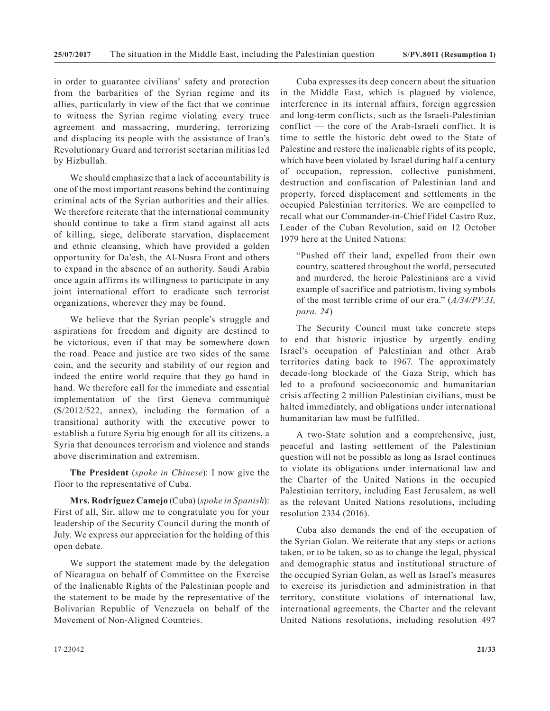in order to guarantee civilians' safety and protection from the barbarities of the Syrian regime and its allies, particularly in view of the fact that we continue to witness the Syrian regime violating every truce agreement and massacring, murdering, terrorizing and displacing its people with the assistance of Iran's Revolutionary Guard and terrorist sectarian militias led by Hizbullah.

We should emphasize that a lack of accountability is one of the most important reasons behind the continuing criminal acts of the Syrian authorities and their allies. We therefore reiterate that the international community should continue to take a firm stand against all acts of killing, siege, deliberate starvation, displacement and ethnic cleansing, which have provided a golden opportunity for Da'esh, the Al-Nusra Front and others to expand in the absence of an authority. Saudi Arabia once again affirms its willingness to participate in any joint international effort to eradicate such terrorist organizations, wherever they may be found.

We believe that the Syrian people's struggle and aspirations for freedom and dignity are destined to be victorious, even if that may be somewhere down the road. Peace and justice are two sides of the same coin, and the security and stability of our region and indeed the entire world require that they go hand in hand. We therefore call for the immediate and essential implementation of the first Geneva communiqué (S/2012/522, annex), including the formation of a transitional authority with the executive power to establish a future Syria big enough for all its citizens, a Syria that denounces terrorism and violence and stands above discrimination and extremism.

**The President** (*spoke in Chinese*): I now give the floor to the representative of Cuba.

**Mrs. Rodríguez Camejo** (Cuba) (*spoke in Spanish*): First of all, Sir, allow me to congratulate you for your leadership of the Security Council during the month of July. We express our appreciation for the holding of this open debate.

We support the statement made by the delegation of Nicaragua on behalf of Committee on the Exercise of the Inalienable Rights of the Palestinian people and the statement to be made by the representative of the Bolivarian Republic of Venezuela on behalf of the Movement of Non-Aligned Countries.

Cuba expresses its deep concern about the situation in the Middle East, which is plagued by violence, interference in its internal affairs, foreign aggression and long-term conflicts, such as the Israeli-Palestinian conflict — the core of the Arab-Israeli conflict. It is time to settle the historic debt owed to the State of Palestine and restore the inalienable rights of its people, which have been violated by Israel during half a century of occupation, repression, collective punishment, destruction and confiscation of Palestinian land and property, forced displacement and settlements in the occupied Palestinian territories. We are compelled to recall what our Commander-in-Chief Fidel Castro Ruz, Leader of the Cuban Revolution, said on 12 October 1979 here at the United Nations:

"Pushed off their land, expelled from their own country, scattered throughout the world, persecuted and murdered, the heroic Palestinians are a vivid example of sacrifice and patriotism, living symbols of the most terrible crime of our era." (*A/34/PV.31, para. 24*)

The Security Council must take concrete steps to end that historic injustice by urgently ending Israel's occupation of Palestinian and other Arab territories dating back to 1967. The approximately decade-long blockade of the Gaza Strip, which has led to a profound socioeconomic and humanitarian crisis affecting 2 million Palestinian civilians, must be halted immediately, and obligations under international humanitarian law must be fulfilled.

A two-State solution and a comprehensive, just, peaceful and lasting settlement of the Palestinian question will not be possible as long as Israel continues to violate its obligations under international law and the Charter of the United Nations in the occupied Palestinian territory, including East Jerusalem, as well as the relevant United Nations resolutions, including resolution 2334 (2016).

Cuba also demands the end of the occupation of the Syrian Golan. We reiterate that any steps or actions taken, or to be taken, so as to change the legal, physical and demographic status and institutional structure of the occupied Syrian Golan, as well as Israel's measures to exercise its jurisdiction and administration in that territory, constitute violations of international law, international agreements, the Charter and the relevant United Nations resolutions, including resolution 497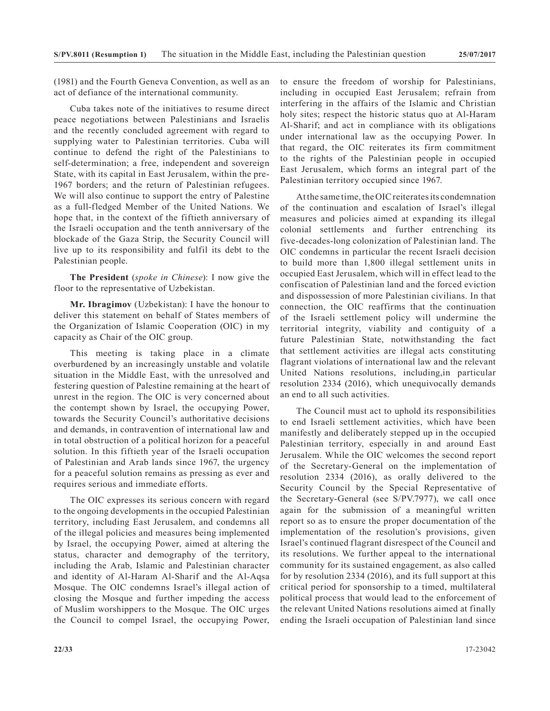(1981) and the Fourth Geneva Convention, as well as an act of defiance of the international community.

Cuba takes note of the initiatives to resume direct peace negotiations between Palestinians and Israelis and the recently concluded agreement with regard to supplying water to Palestinian territories. Cuba will continue to defend the right of the Palestinians to self-determination; a free, independent and sovereign State, with its capital in East Jerusalem, within the pre-1967 borders; and the return of Palestinian refugees. We will also continue to support the entry of Palestine as a full-fledged Member of the United Nations. We hope that, in the context of the fiftieth anniversary of the Israeli occupation and the tenth anniversary of the blockade of the Gaza Strip, the Security Council will live up to its responsibility and fulfil its debt to the Palestinian people.

**The President** (*spoke in Chinese*): I now give the floor to the representative of Uzbekistan.

**Mr. Ibragimov** (Uzbekistan): I have the honour to deliver this statement on behalf of States members of the Organization of Islamic Cooperation (OIC) in my capacity as Chair of the OIC group.

This meeting is taking place in a climate overburdened by an increasingly unstable and volatile situation in the Middle East, with the unresolved and festering question of Palestine remaining at the heart of unrest in the region. The OIC is very concerned about the contempt shown by Israel, the occupying Power, towards the Security Council's authoritative decisions and demands, in contravention of international law and in total obstruction of a political horizon for a peaceful solution. In this fiftieth year of the Israeli occupation of Palestinian and Arab lands since 1967, the urgency for a peaceful solution remains as pressing as ever and requires serious and immediate efforts.

The OIC expresses its serious concern with regard to the ongoing developments in the occupied Palestinian territory, including East Jerusalem, and condemns all of the illegal policies and measures being implemented by Israel, the occupying Power, aimed at altering the status, character and demography of the territory, including the Arab, Islamic and Palestinian character and identity of Al-Haram Al-Sharif and the Al-Aqsa Mosque. The OIC condemns Israel's illegal action of closing the Mosque and further impeding the access of Muslim worshippers to the Mosque. The OIC urges the Council to compel Israel, the occupying Power,

to ensure the freedom of worship for Palestinians, including in occupied East Jerusalem; refrain from interfering in the affairs of the Islamic and Christian holy sites; respect the historic status quo at Al-Haram Al-Sharif; and act in compliance with its obligations under international law as the occupying Power. In that regard, the OIC reiterates its firm commitment to the rights of the Palestinian people in occupied East Jerusalem, which forms an integral part of the Palestinian territory occupied since 1967.

At the same time, the OIC reiterates its condemnation of the continuation and escalation of Israel's illegal measures and policies aimed at expanding its illegal colonial settlements and further entrenching its five-decades-long colonization of Palestinian land. The OIC condemns in particular the recent Israeli decision to build more than 1,800 illegal settlement units in occupied East Jerusalem, which will in effect lead to the confiscation of Palestinian land and the forced eviction and dispossession of more Palestinian civilians. In that connection, the OIC reaffirms that the continuation of the Israeli settlement policy will undermine the territorial integrity, viability and contiguity of a future Palestinian State, notwithstanding the fact that settlement activities are illegal acts constituting flagrant violations of international law and the relevant United Nations resolutions, including,in particular resolution 2334 (2016), which unequivocally demands an end to all such activities.

The Council must act to uphold its responsibilities to end Israeli settlement activities, which have been manifestly and deliberately stepped up in the occupied Palestinian territory, especially in and around East Jerusalem. While the OIC welcomes the second report of the Secretary-General on the implementation of resolution 2334 (2016), as orally delivered to the Security Council by the Special Representative of the Secretary-General (see S/PV.7977), we call once again for the submission of a meaningful written report so as to ensure the proper documentation of the implementation of the resolution's provisions, given Israel's continued flagrant disrespect of the Council and its resolutions. We further appeal to the international community for its sustained engagement, as also called for by resolution 2334 (2016), and its full support at this critical period for sponsorship to a timed, multilateral political process that would lead to the enforcement of the relevant United Nations resolutions aimed at finally ending the Israeli occupation of Palestinian land since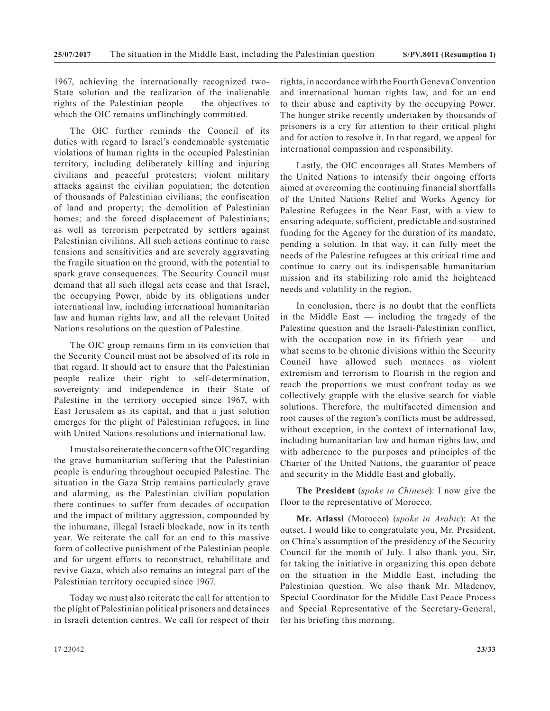1967, achieving the internationally recognized two-State solution and the realization of the inalienable rights of the Palestinian people — the objectives to which the OIC remains unflinchingly committed.

The OIC further reminds the Council of its duties with regard to Israel's condemnable systematic violations of human rights in the occupied Palestinian territory, including deliberately killing and injuring civilians and peaceful protesters; violent military attacks against the civilian population; the detention of thousands of Palestinian civilians; the confiscation of land and property; the demolition of Palestinian homes; and the forced displacement of Palestinians; as well as terrorism perpetrated by settlers against Palestinian civilians. All such actions continue to raise tensions and sensitivities and are severely aggravating the fragile situation on the ground, with the potential to spark grave consequences. The Security Council must demand that all such illegal acts cease and that Israel, the occupying Power, abide by its obligations under international law, including international humanitarian law and human rights law, and all the relevant United Nations resolutions on the question of Palestine.

The OIC group remains firm in its conviction that the Security Council must not be absolved of its role in that regard. It should act to ensure that the Palestinian people realize their right to self-determination, sovereignty and independence in their State of Palestine in the territory occupied since 1967, with East Jerusalem as its capital, and that a just solution emerges for the plight of Palestinian refugees, in line with United Nations resolutions and international law.

I must also reiterate the concerns of the OIC regarding the grave humanitarian suffering that the Palestinian people is enduring throughout occupied Palestine. The situation in the Gaza Strip remains particularly grave and alarming, as the Palestinian civilian population there continues to suffer from decades of occupation and the impact of military aggression, compounded by the inhumane, illegal Israeli blockade, now in its tenth year. We reiterate the call for an end to this massive form of collective punishment of the Palestinian people and for urgent efforts to reconstruct, rehabilitate and revive Gaza, which also remains an integral part of the Palestinian territory occupied since 1967.

Today we must also reiterate the call for attention to the plight of Palestinian political prisoners and detainees in Israeli detention centres. We call for respect of their rights, in accordance with the Fourth Geneva Convention and international human rights law, and for an end to their abuse and captivity by the occupying Power. The hunger strike recently undertaken by thousands of prisoners is a cry for attention to their critical plight and for action to resolve it. In that regard, we appeal for international compassion and responsibility.

Lastly, the OIC encourages all States Members of the United Nations to intensify their ongoing efforts aimed at overcoming the continuing financial shortfalls of the United Nations Relief and Works Agency for Palestine Refugees in the Near East, with a view to ensuring adequate, sufficient, predictable and sustained funding for the Agency for the duration of its mandate, pending a solution. In that way, it can fully meet the needs of the Palestine refugees at this critical time and continue to carry out its indispensable humanitarian mission and its stabilizing role amid the heightened needs and volatility in the region.

In conclusion, there is no doubt that the conflicts in the Middle East — including the tragedy of the Palestine question and the Israeli-Palestinian conflict, with the occupation now in its fiftieth year — and what seems to be chronic divisions within the Security Council have allowed such menaces as violent extremism and terrorism to flourish in the region and reach the proportions we must confront today as we collectively grapple with the elusive search for viable solutions. Therefore, the multifaceted dimension and root causes of the region's conflicts must be addressed, without exception, in the context of international law, including humanitarian law and human rights law, and with adherence to the purposes and principles of the Charter of the United Nations, the guarantor of peace and security in the Middle East and globally.

**The President** (*spoke in Chinese*): I now give the floor to the representative of Morocco.

**Mr. Atlassi** (Morocco) (*spoke in Arabic*): At the outset, I would like to congratulate you, Mr. President, on China's assumption of the presidency of the Security Council for the month of July. I also thank you, Sir, for taking the initiative in organizing this open debate on the situation in the Middle East, including the Palestinian question. We also thank Mr. Mladenov, Special Coordinator for the Middle East Peace Process and Special Representative of the Secretary-General, for his briefing this morning.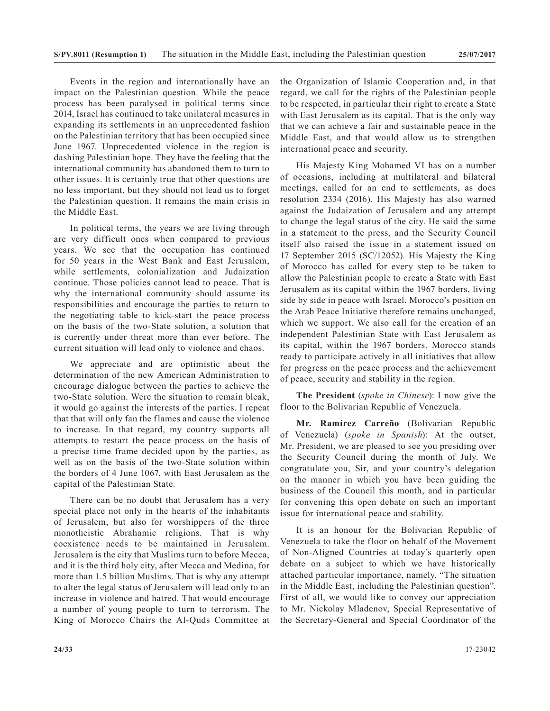Events in the region and internationally have an impact on the Palestinian question. While the peace process has been paralysed in political terms since 2014, Israel has continued to take unilateral measures in expanding its settlements in an unprecedented fashion on the Palestinian territory that has been occupied since June 1967. Unprecedented violence in the region is dashing Palestinian hope. They have the feeling that the international community has abandoned them to turn to other issues. It is certainly true that other questions are no less important, but they should not lead us to forget the Palestinian question. It remains the main crisis in the Middle East.

In political terms, the years we are living through are very difficult ones when compared to previous years. We see that the occupation has continued for 50 years in the West Bank and East Jerusalem, while settlements, colonialization and Judaization continue. Those policies cannot lead to peace. That is why the international community should assume its responsibilities and encourage the parties to return to the negotiating table to kick-start the peace process on the basis of the two-State solution, a solution that is currently under threat more than ever before. The current situation will lead only to violence and chaos.

We appreciate and are optimistic about the determination of the new American Administration to encourage dialogue between the parties to achieve the two-State solution. Were the situation to remain bleak, it would go against the interests of the parties. I repeat that that will only fan the flames and cause the violence to increase. In that regard, my country supports all attempts to restart the peace process on the basis of a precise time frame decided upon by the parties, as well as on the basis of the two-State solution within the borders of 4 June 1067, with East Jerusalem as the capital of the Palestinian State.

There can be no doubt that Jerusalem has a very special place not only in the hearts of the inhabitants of Jerusalem, but also for worshippers of the three monotheistic Abrahamic religions. That is why coexistence needs to be maintained in Jerusalem. Jerusalem is the city that Muslims turn to before Mecca, and it is the third holy city, after Mecca and Medina, for more than 1.5 billion Muslims. That is why any attempt to alter the legal status of Jerusalem will lead only to an increase in violence and hatred. That would encourage a number of young people to turn to terrorism. The King of Morocco Chairs the Al-Quds Committee at the Organization of Islamic Cooperation and, in that regard, we call for the rights of the Palestinian people to be respected, in particular their right to create a State with East Jerusalem as its capital. That is the only way that we can achieve a fair and sustainable peace in the Middle East, and that would allow us to strengthen international peace and security.

His Majesty King Mohamed VI has on a number of occasions, including at multilateral and bilateral meetings, called for an end to settlements, as does resolution 2334 (2016). His Majesty has also warned against the Judaization of Jerusalem and any attempt to change the legal status of the city. He said the same in a statement to the press, and the Security Council itself also raised the issue in a statement issued on 17 September 2015 (SC/12052). His Majesty the King of Morocco has called for every step to be taken to allow the Palestinian people to create a State with East Jerusalem as its capital within the 1967 borders, living side by side in peace with Israel. Morocco's position on the Arab Peace Initiative therefore remains unchanged, which we support. We also call for the creation of an independent Palestinian State with East Jerusalem as its capital, within the 1967 borders. Morocco stands ready to participate actively in all initiatives that allow for progress on the peace process and the achievement of peace, security and stability in the region.

**The President** (*spoke in Chinese*): I now give the floor to the Bolivarian Republic of Venezuela.

**Mr. Ramírez Carreño** (Bolivarian Republic of Venezuela) (*spoke in Spanish*): At the outset, Mr. President, we are pleased to see you presiding over the Security Council during the month of July. We congratulate you, Sir, and your country's delegation on the manner in which you have been guiding the business of the Council this month, and in particular for convening this open debate on such an important issue for international peace and stability.

It is an honour for the Bolivarian Republic of Venezuela to take the floor on behalf of the Movement of Non-Aligned Countries at today's quarterly open debate on a subject to which we have historically attached particular importance, namely, "The situation in the Middle East, including the Palestinian question". First of all, we would like to convey our appreciation to Mr. Nickolay Mladenov, Special Representative of the Secretary-General and Special Coordinator of the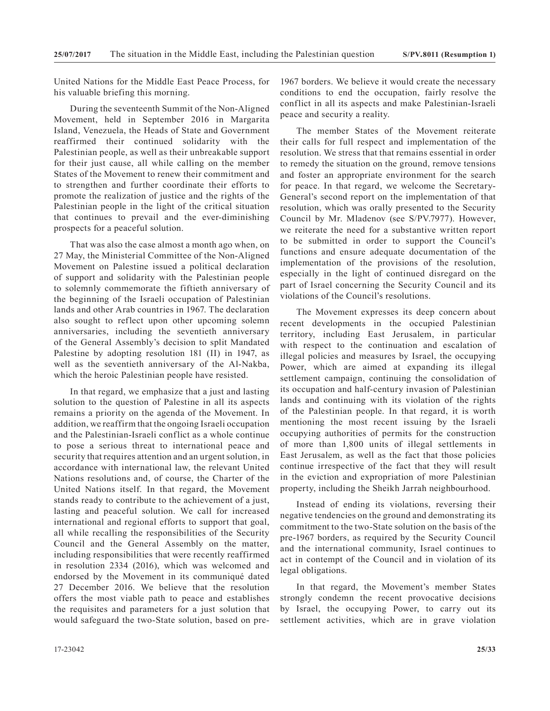United Nations for the Middle East Peace Process, for his valuable briefing this morning.

During the seventeenth Summit of the Non-Aligned Movement, held in September 2016 in Margarita Island, Venezuela, the Heads of State and Government reaffirmed their continued solidarity with the Palestinian people, as well as their unbreakable support for their just cause, all while calling on the member States of the Movement to renew their commitment and to strengthen and further coordinate their efforts to promote the realization of justice and the rights of the Palestinian people in the light of the critical situation that continues to prevail and the ever-diminishing prospects for a peaceful solution.

That was also the case almost a month ago when, on 27 May, the Ministerial Committee of the Non-Aligned Movement on Palestine issued a political declaration of support and solidarity with the Palestinian people to solemnly commemorate the fiftieth anniversary of the beginning of the Israeli occupation of Palestinian lands and other Arab countries in 1967. The declaration also sought to reflect upon other upcoming solemn anniversaries, including the seventieth anniversary of the General Assembly's decision to split Mandated Palestine by adopting resolution 181 (II) in 1947, as well as the seventieth anniversary of the Al-Nakba, which the heroic Palestinian people have resisted.

In that regard, we emphasize that a just and lasting solution to the question of Palestine in all its aspects remains a priority on the agenda of the Movement. In addition, we reaffirm that the ongoing Israeli occupation and the Palestinian-Israeli conflict as a whole continue to pose a serious threat to international peace and security that requires attention and an urgent solution, in accordance with international law, the relevant United Nations resolutions and, of course, the Charter of the United Nations itself. In that regard, the Movement stands ready to contribute to the achievement of a just, lasting and peaceful solution. We call for increased international and regional efforts to support that goal, all while recalling the responsibilities of the Security Council and the General Assembly on the matter, including responsibilities that were recently reaffirmed in resolution 2334 (2016), which was welcomed and endorsed by the Movement in its communiqué dated 27 December 2016. We believe that the resolution offers the most viable path to peace and establishes the requisites and parameters for a just solution that would safeguard the two-State solution, based on pre-

The member States of the Movement reiterate their calls for full respect and implementation of the resolution. We stress that that remains essential in order to remedy the situation on the ground, remove tensions and foster an appropriate environment for the search for peace. In that regard, we welcome the Secretary-General's second report on the implementation of that resolution, which was orally presented to the Security Council by Mr. Mladenov (see S/PV.7977). However, we reiterate the need for a substantive written report to be submitted in order to support the Council's functions and ensure adequate documentation of the implementation of the provisions of the resolution, especially in the light of continued disregard on the part of Israel concerning the Security Council and its violations of the Council's resolutions.

The Movement expresses its deep concern about recent developments in the occupied Palestinian territory, including East Jerusalem, in particular with respect to the continuation and escalation of illegal policies and measures by Israel, the occupying Power, which are aimed at expanding its illegal settlement campaign, continuing the consolidation of its occupation and half-century invasion of Palestinian lands and continuing with its violation of the rights of the Palestinian people. In that regard, it is worth mentioning the most recent issuing by the Israeli occupying authorities of permits for the construction of more than 1,800 units of illegal settlements in East Jerusalem, as well as the fact that those policies continue irrespective of the fact that they will result in the eviction and expropriation of more Palestinian property, including the Sheikh Jarrah neighbourhood.

Instead of ending its violations, reversing their negative tendencies on the ground and demonstrating its commitment to the two-State solution on the basis of the pre-1967 borders, as required by the Security Council and the international community, Israel continues to act in contempt of the Council and in violation of its legal obligations.

In that regard, the Movement's member States strongly condemn the recent provocative decisions by Israel, the occupying Power, to carry out its settlement activities, which are in grave violation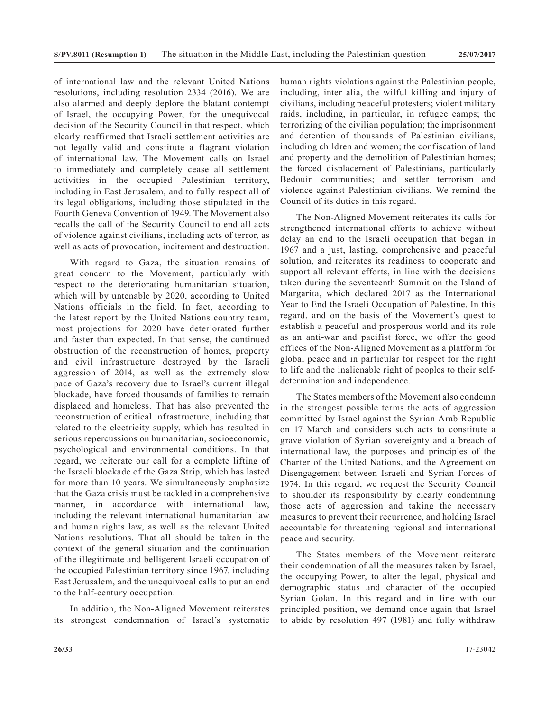of international law and the relevant United Nations resolutions, including resolution 2334 (2016). We are also alarmed and deeply deplore the blatant contempt of Israel, the occupying Power, for the unequivocal decision of the Security Council in that respect, which clearly reaffirmed that Israeli settlement activities are not legally valid and constitute a flagrant violation of international law. The Movement calls on Israel to immediately and completely cease all settlement activities in the occupied Palestinian territory, including in East Jerusalem, and to fully respect all of its legal obligations, including those stipulated in the Fourth Geneva Convention of 1949. The Movement also recalls the call of the Security Council to end all acts of violence against civilians, including acts of terror, as well as acts of provocation, incitement and destruction.

With regard to Gaza, the situation remains of great concern to the Movement, particularly with respect to the deteriorating humanitarian situation, which will by untenable by 2020, according to United Nations officials in the field. In fact, according to the latest report by the United Nations country team, most projections for 2020 have deteriorated further and faster than expected. In that sense, the continued obstruction of the reconstruction of homes, property and civil infrastructure destroyed by the Israeli aggression of 2014, as well as the extremely slow pace of Gaza's recovery due to Israel's current illegal blockade, have forced thousands of families to remain displaced and homeless. That has also prevented the reconstruction of critical infrastructure, including that related to the electricity supply, which has resulted in serious repercussions on humanitarian, socioeconomic, psychological and environmental conditions. In that regard, we reiterate our call for a complete lifting of the Israeli blockade of the Gaza Strip, which has lasted for more than 10 years. We simultaneously emphasize that the Gaza crisis must be tackled in a comprehensive manner, in accordance with international law, including the relevant international humanitarian law and human rights law, as well as the relevant United Nations resolutions. That all should be taken in the context of the general situation and the continuation of the illegitimate and belligerent Israeli occupation of the occupied Palestinian territory since 1967, including East Jerusalem, and the unequivocal calls to put an end to the half-century occupation.

In addition, the Non-Aligned Movement reiterates its strongest condemnation of Israel's systematic human rights violations against the Palestinian people, including, inter alia, the wilful killing and injury of civilians, including peaceful protesters; violent military raids, including, in particular, in refugee camps; the terrorizing of the civilian population; the imprisonment and detention of thousands of Palestinian civilians, including children and women; the confiscation of land and property and the demolition of Palestinian homes; the forced displacement of Palestinians, particularly Bedouin communities; and settler terrorism and violence against Palestinian civilians. We remind the Council of its duties in this regard.

The Non-Aligned Movement reiterates its calls for strengthened international efforts to achieve without delay an end to the Israeli occupation that began in 1967 and a just, lasting, comprehensive and peaceful solution, and reiterates its readiness to cooperate and support all relevant efforts, in line with the decisions taken during the seventeenth Summit on the Island of Margarita, which declared 2017 as the International Year to End the Israeli Occupation of Palestine. In this regard, and on the basis of the Movement's quest to establish a peaceful and prosperous world and its role as an anti-war and pacifist force, we offer the good offices of the Non-Aligned Movement as a platform for global peace and in particular for respect for the right to life and the inalienable right of peoples to their selfdetermination and independence.

The States members of the Movement also condemn in the strongest possible terms the acts of aggression committed by Israel against the Syrian Arab Republic on 17 March and considers such acts to constitute a grave violation of Syrian sovereignty and a breach of international law, the purposes and principles of the Charter of the United Nations, and the Agreement on Disengagement between Israeli and Syrian Forces of 1974. In this regard, we request the Security Council to shoulder its responsibility by clearly condemning those acts of aggression and taking the necessary measures to prevent their recurrence, and holding Israel accountable for threatening regional and international peace and security.

The States members of the Movement reiterate their condemnation of all the measures taken by Israel, the occupying Power, to alter the legal, physical and demographic status and character of the occupied Syrian Golan. In this regard and in line with our principled position, we demand once again that Israel to abide by resolution 497 (1981) and fully withdraw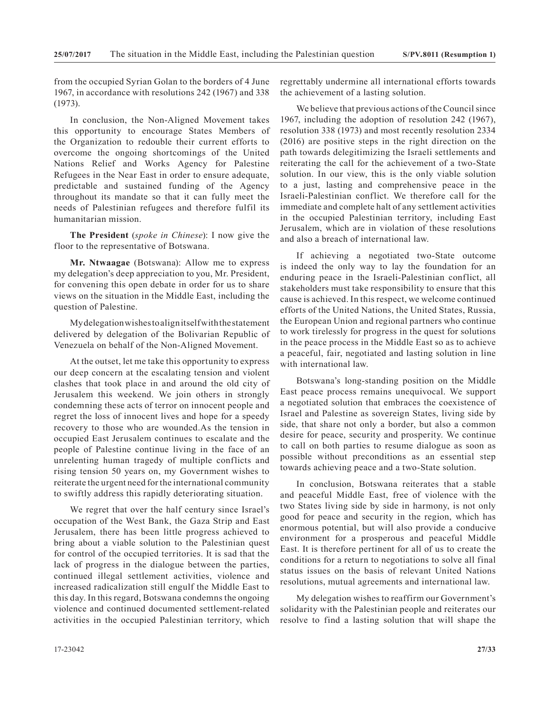from the occupied Syrian Golan to the borders of 4 June 1967, in accordance with resolutions 242 (1967) and 338 (1973).

In conclusion, the Non-Aligned Movement takes this opportunity to encourage States Members of the Organization to redouble their current efforts to overcome the ongoing shortcomings of the United Nations Relief and Works Agency for Palestine Refugees in the Near East in order to ensure adequate, predictable and sustained funding of the Agency throughout its mandate so that it can fully meet the needs of Palestinian refugees and therefore fulfil its humanitarian mission.

**The President** (*spoke in Chinese*): I now give the floor to the representative of Botswana.

**Mr. Ntwaagae** (Botswana): Allow me to express my delegation's deep appreciation to you, Mr. President, for convening this open debate in order for us to share views on the situation in the Middle East, including the question of Palestine.

My delegation wishes to align itself with the statement delivered by delegation of the Bolivarian Republic of Venezuela on behalf of the Non-Aligned Movement.

At the outset, let me take this opportunity to express our deep concern at the escalating tension and violent clashes that took place in and around the old city of Jerusalem this weekend. We join others in strongly condemning these acts of terror on innocent people and regret the loss of innocent lives and hope for a speedy recovery to those who are wounded.As the tension in occupied East Jerusalem continues to escalate and the people of Palestine continue living in the face of an unrelenting human tragedy of multiple conflicts and rising tension 50 years on, my Government wishes to reiterate the urgent need for the international community to swiftly address this rapidly deteriorating situation.

We regret that over the half century since Israel's occupation of the West Bank, the Gaza Strip and East Jerusalem, there has been little progress achieved to bring about a viable solution to the Palestinian quest for control of the occupied territories. It is sad that the lack of progress in the dialogue between the parties, continued illegal settlement activities, violence and increased radicalization still engulf the Middle East to this day. In this regard, Botswana condemns the ongoing violence and continued documented settlement-related activities in the occupied Palestinian territory, which

regrettably undermine all international efforts towards the achievement of a lasting solution.

We believe that previous actions of the Council since 1967, including the adoption of resolution 242 (1967), resolution 338 (1973) and most recently resolution 2334 (2016) are positive steps in the right direction on the path towards delegitimizing the Israeli settlements and reiterating the call for the achievement of a two-State solution. In our view, this is the only viable solution to a just, lasting and comprehensive peace in the Israeli-Palestinian conflict. We therefore call for the immediate and complete halt of any settlement activities in the occupied Palestinian territory, including East Jerusalem, which are in violation of these resolutions and also a breach of international law.

If achieving a negotiated two-State outcome is indeed the only way to lay the foundation for an enduring peace in the Israeli-Palestinian conflict, all stakeholders must take responsibility to ensure that this cause is achieved. In this respect, we welcome continued efforts of the United Nations, the United States, Russia, the European Union and regional partners who continue to work tirelessly for progress in the quest for solutions in the peace process in the Middle East so as to achieve a peaceful, fair, negotiated and lasting solution in line with international law.

Botswana's long-standing position on the Middle East peace process remains unequivocal. We support a negotiated solution that embraces the coexistence of Israel and Palestine as sovereign States, living side by side, that share not only a border, but also a common desire for peace, security and prosperity. We continue to call on both parties to resume dialogue as soon as possible without preconditions as an essential step towards achieving peace and a two-State solution.

In conclusion, Botswana reiterates that a stable and peaceful Middle East, free of violence with the two States living side by side in harmony, is not only good for peace and security in the region, which has enormous potential, but will also provide a conducive environment for a prosperous and peaceful Middle East. It is therefore pertinent for all of us to create the conditions for a return to negotiations to solve all final status issues on the basis of relevant United Nations resolutions, mutual agreements and international law.

My delegation wishes to reaffirm our Government's solidarity with the Palestinian people and reiterates our resolve to find a lasting solution that will shape the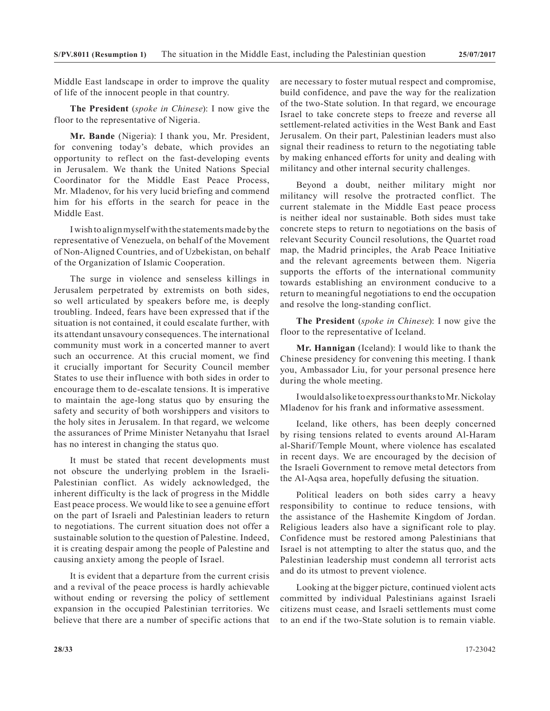Middle East landscape in order to improve the quality of life of the innocent people in that country.

**The President** (*spoke in Chinese*): I now give the floor to the representative of Nigeria.

**Mr. Bande** (Nigeria): I thank you, Mr. President, for convening today's debate, which provides an opportunity to reflect on the fast-developing events in Jerusalem. We thank the United Nations Special Coordinator for the Middle East Peace Process, Mr. Mladenov, for his very lucid briefing and commend him for his efforts in the search for peace in the Middle East.

I wish to align myself with the statements made by the representative of Venezuela, on behalf of the Movement of Non-Aligned Countries, and of Uzbekistan, on behalf of the Organization of Islamic Cooperation.

The surge in violence and senseless killings in Jerusalem perpetrated by extremists on both sides, so well articulated by speakers before me, is deeply troubling. Indeed, fears have been expressed that if the situation is not contained, it could escalate further, with its attendant unsavoury consequences. The international community must work in a concerted manner to avert such an occurrence. At this crucial moment, we find it crucially important for Security Council member States to use their influence with both sides in order to encourage them to de-escalate tensions. It is imperative to maintain the age-long status quo by ensuring the safety and security of both worshippers and visitors to the holy sites in Jerusalem. In that regard, we welcome the assurances of Prime Minister Netanyahu that Israel has no interest in changing the status quo.

It must be stated that recent developments must not obscure the underlying problem in the Israeli-Palestinian conflict. As widely acknowledged, the inherent difficulty is the lack of progress in the Middle East peace process. We would like to see a genuine effort on the part of Israeli and Palestinian leaders to return to negotiations. The current situation does not offer a sustainable solution to the question of Palestine. Indeed, it is creating despair among the people of Palestine and causing anxiety among the people of Israel.

It is evident that a departure from the current crisis and a revival of the peace process is hardly achievable without ending or reversing the policy of settlement expansion in the occupied Palestinian territories. We believe that there are a number of specific actions that

are necessary to foster mutual respect and compromise, build confidence, and pave the way for the realization of the two-State solution. In that regard, we encourage Israel to take concrete steps to freeze and reverse all settlement-related activities in the West Bank and East Jerusalem. On their part, Palestinian leaders must also signal their readiness to return to the negotiating table by making enhanced efforts for unity and dealing with militancy and other internal security challenges.

Beyond a doubt, neither military might nor militancy will resolve the protracted conflict. The current stalemate in the Middle East peace process is neither ideal nor sustainable. Both sides must take concrete steps to return to negotiations on the basis of relevant Security Council resolutions, the Quartet road map, the Madrid principles, the Arab Peace Initiative and the relevant agreements between them. Nigeria supports the efforts of the international community towards establishing an environment conducive to a return to meaningful negotiations to end the occupation and resolve the long-standing conflict.

**The President** (*spoke in Chinese*): I now give the floor to the representative of Iceland.

**Mr. Hannigan** (Iceland): I would like to thank the Chinese presidency for convening this meeting. I thank you, Ambassador Liu, for your personal presence here during the whole meeting.

I would also like to express our thanks to Mr. Nickolay Mladenov for his frank and informative assessment.

Iceland, like others, has been deeply concerned by rising tensions related to events around Al-Haram al-Sharif/Temple Mount, where violence has escalated in recent days. We are encouraged by the decision of the Israeli Government to remove metal detectors from the Al-Aqsa area, hopefully defusing the situation.

Political leaders on both sides carry a heavy responsibility to continue to reduce tensions, with the assistance of the Hashemite Kingdom of Jordan. Religious leaders also have a significant role to play. Confidence must be restored among Palestinians that Israel is not attempting to alter the status quo, and the Palestinian leadership must condemn all terrorist acts and do its utmost to prevent violence.

Looking at the bigger picture, continued violent acts committed by individual Palestinians against Israeli citizens must cease, and Israeli settlements must come to an end if the two-State solution is to remain viable.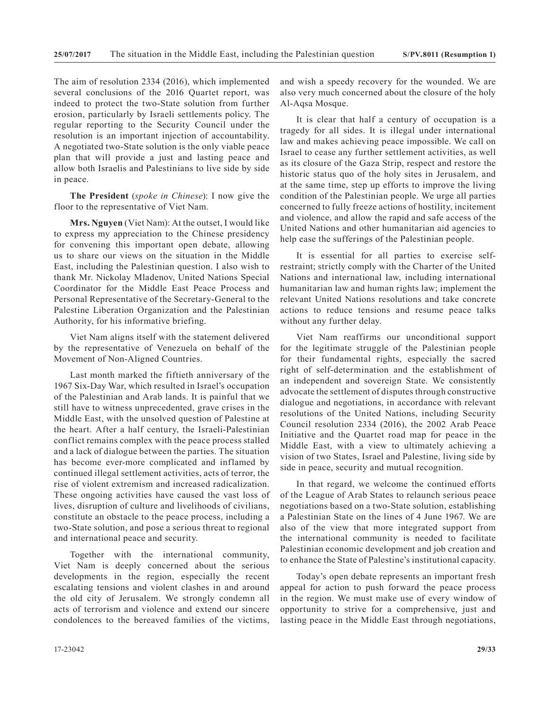The aim of resolution 2334 (2016), which implemented several conclusions of the 2016 Quartet report, was indeed to protect the two-State solution from further erosion, particularly by Israeli settlements policy. The regular reporting to the Security Council under the resolution is an important injection of accountability. A negotiated two-State solution is the only viable peace plan that will provide a just and lasting peace and allow both Israelis and Palestinians to live side by side in peace.

**The President** (*spoke in Chinese*): I now give the floor to the representative of Viet Nam.

**Mrs. Nguyen** (Viet Nam): At the outset, I would like to express my appreciation to the Chinese presidency for convening this important open debate, allowing us to share our views on the situation in the Middle East, including the Palestinian question. I also wish to thank Mr. Nickolay Mladenov, United Nations Special Coordinator for the Middle East Peace Process and Personal Representative of the Secretary-General to the Palestine Liberation Organization and the Palestinian Authority, for his informative briefing.

Viet Nam aligns itself with the statement delivered by the representative of Venezuela on behalf of the Movement of Non-Aligned Countries.

Last month marked the fiftieth anniversary of the 1967 Six-Day War, which resulted in Israel's occupation of the Palestinian and Arab lands. It is painful that we still have to witness unprecedented, grave crises in the Middle East, with the unsolved question of Palestine at the heart. After a half century, the Israeli-Palestinian conflict remains complex with the peace process stalled and a lack of dialogue between the parties. The situation has become ever-more complicated and inflamed by continued illegal settlement activities, acts of terror, the rise of violent extremism and increased radicalization. These ongoing activities have caused the vast loss of lives, disruption of culture and livelihoods of civilians, constitute an obstacle to the peace process, including a two-State solution, and pose a serious threat to regional and international peace and security.

Together with the international community, Viet Nam is deeply concerned about the serious developments in the region, especially the recent escalating tensions and violent clashes in and around the old city of Jerusalem. We strongly condemn all acts of terrorism and violence and extend our sincere condolences to the bereaved families of the victims,

and wish a speedy recovery for the wounded. We are also very much concerned about the closure of the holy Al-Aqsa Mosque.

It is clear that half a century of occupation is a tragedy for all sides. It is illegal under international law and makes achieving peace impossible. We call on Israel to cease any further settlement activities, as well as its closure of the Gaza Strip, respect and restore the historic status quo of the holy sites in Jerusalem, and at the same time, step up efforts to improve the living condition of the Palestinian people. We urge all parties concerned to fully freeze actions of hostility, incitement and violence, and allow the rapid and safe access of the United Nations and other humanitarian aid agencies to help ease the sufferings of the Palestinian people.

It is essential for all parties to exercise selfrestraint; strictly comply with the Charter of the United Nations and international law, including international humanitarian law and human rights law; implement the relevant United Nations resolutions and take concrete actions to reduce tensions and resume peace talks without any further delay.

Viet Nam reaffirms our unconditional support for the legitimate struggle of the Palestinian people for their fundamental rights, especially the sacred right of self-determination and the establishment of an independent and sovereign State. We consistently advocate the settlement of disputes through constructive dialogue and negotiations, in accordance with relevant resolutions of the United Nations, including Security Council resolution 2334 (2016), the 2002 Arab Peace Initiative and the Quartet road map for peace in the Middle East, with a view to ultimately achieving a vision of two States, Israel and Palestine, living side by side in peace, security and mutual recognition.

In that regard, we welcome the continued efforts of the League of Arab States to relaunch serious peace negotiations based on a two-State solution, establishing a Palestinian State on the lines of 4 June 1967. We are also of the view that more integrated support from the international community is needed to facilitate Palestinian economic development and job creation and to enhance the State of Palestine's institutional capacity.

Today's open debate represents an important fresh appeal for action to push forward the peace process in the region. We must make use of every window of opportunity to strive for a comprehensive, just and lasting peace in the Middle East through negotiations,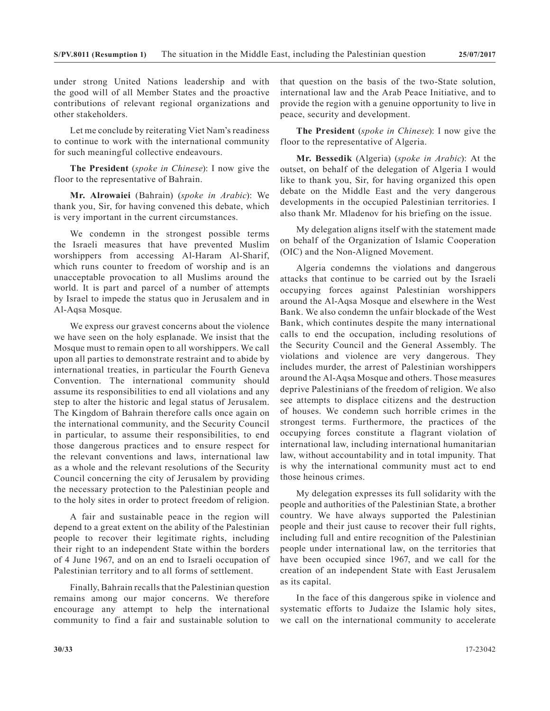under strong United Nations leadership and with the good will of all Member States and the proactive contributions of relevant regional organizations and other stakeholders.

Let me conclude by reiterating Viet Nam's readiness to continue to work with the international community for such meaningful collective endeavours.

**The President** (*spoke in Chinese*): I now give the floor to the representative of Bahrain.

**Mr. Alrowaiei** (Bahrain) (*spoke in Arabic*): We thank you, Sir, for having convened this debate, which is very important in the current circumstances.

We condemn in the strongest possible terms the Israeli measures that have prevented Muslim worshippers from accessing Al-Haram Al-Sharif, which runs counter to freedom of worship and is an unacceptable provocation to all Muslims around the world. It is part and parcel of a number of attempts by Israel to impede the status quo in Jerusalem and in Al-Aqsa Mosque.

We express our gravest concerns about the violence we have seen on the holy esplanade. We insist that the Mosque must to remain open to all worshippers. We call upon all parties to demonstrate restraint and to abide by international treaties, in particular the Fourth Geneva Convention. The international community should assume its responsibilities to end all violations and any step to alter the historic and legal status of Jerusalem. The Kingdom of Bahrain therefore calls once again on the international community, and the Security Council in particular, to assume their responsibilities, to end those dangerous practices and to ensure respect for the relevant conventions and laws, international law as a whole and the relevant resolutions of the Security Council concerning the city of Jerusalem by providing the necessary protection to the Palestinian people and to the holy sites in order to protect freedom of religion.

A fair and sustainable peace in the region will depend to a great extent on the ability of the Palestinian people to recover their legitimate rights, including their right to an independent State within the borders of 4 June 1967, and on an end to Israeli occupation of Palestinian territory and to all forms of settlement.

Finally, Bahrain recalls that the Palestinian question remains among our major concerns. We therefore encourage any attempt to help the international community to find a fair and sustainable solution to

that question on the basis of the two-State solution, international law and the Arab Peace Initiative, and to provide the region with a genuine opportunity to live in peace, security and development.

**The President** (*spoke in Chinese*): I now give the floor to the representative of Algeria.

**Mr. Bessedik** (Algeria) (*spoke in Arabic*): At the outset, on behalf of the delegation of Algeria I would like to thank you, Sir, for having organized this open debate on the Middle East and the very dangerous developments in the occupied Palestinian territories. I also thank Mr. Mladenov for his briefing on the issue.

My delegation aligns itself with the statement made on behalf of the Organization of Islamic Cooperation (OIC) and the Non-Aligned Movement.

Algeria condemns the violations and dangerous attacks that continue to be carried out by the Israeli occupying forces against Palestinian worshippers around the Al-Aqsa Mosque and elsewhere in the West Bank. We also condemn the unfair blockade of the West Bank, which continutes despite the many international calls to end the occupation, including resolutions of the Security Council and the General Assembly. The violations and violence are very dangerous. They includes murder, the arrest of Palestinian worshippers around the Al-Aqsa Mosque and others. Those measures deprive Palestinians of the freedom of religion. We also see attempts to displace citizens and the destruction of houses. We condemn such horrible crimes in the strongest terms. Furthermore, the practices of the occupying forces constitute a flagrant violation of international law, including international humanitarian law, without accountability and in total impunity. That is why the international community must act to end those heinous crimes.

My delegation expresses its full solidarity with the people and authorities of the Palestinian State, a brother country. We have always supported the Palestinian people and their just cause to recover their full rights, including full and entire recognition of the Palestinian people under international law, on the territories that have been occupied since 1967, and we call for the creation of an independent State with East Jerusalem as its capital.

In the face of this dangerous spike in violence and systematic efforts to Judaize the Islamic holy sites, we call on the international community to accelerate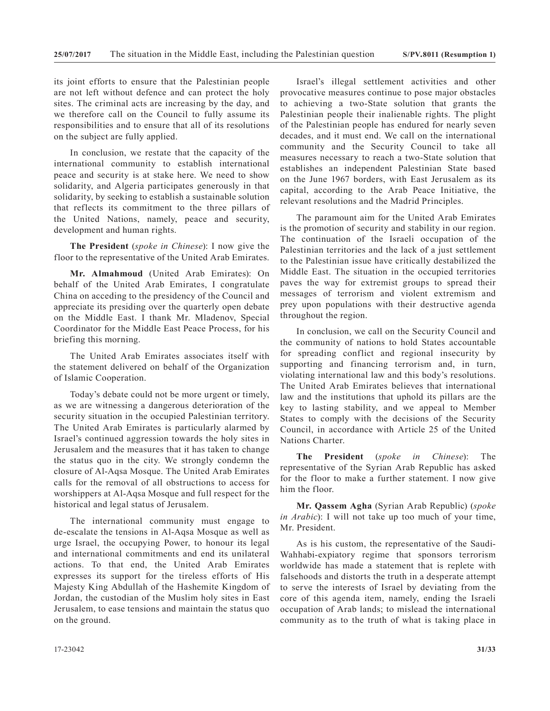its joint efforts to ensure that the Palestinian people are not left without defence and can protect the holy sites. The criminal acts are increasing by the day, and we therefore call on the Council to fully assume its responsibilities and to ensure that all of its resolutions on the subject are fully applied.

In conclusion, we restate that the capacity of the international community to establish international peace and security is at stake here. We need to show solidarity, and Algeria participates generously in that solidarity, by seeking to establish a sustainable solution that reflects its commitment to the three pillars of the United Nations, namely, peace and security, development and human rights.

**The President** (*spoke in Chinese*): I now give the floor to the representative of the United Arab Emirates.

**Mr. Almahmoud** (United Arab Emirates): On behalf of the United Arab Emirates, I congratulate China on acceding to the presidency of the Council and appreciate its presiding over the quarterly open debate on the Middle East. I thank Mr. Mladenov, Special Coordinator for the Middle East Peace Process, for his briefing this morning.

The United Arab Emirates associates itself with the statement delivered on behalf of the Organization of Islamic Cooperation.

Today's debate could not be more urgent or timely, as we are witnessing a dangerous deterioration of the security situation in the occupied Palestinian territory. The United Arab Emirates is particularly alarmed by Israel's continued aggression towards the holy sites in Jerusalem and the measures that it has taken to change the status quo in the city. We strongly condemn the closure of Al-Aqsa Mosque. The United Arab Emirates calls for the removal of all obstructions to access for worshippers at Al-Aqsa Mosque and full respect for the historical and legal status of Jerusalem.

The international community must engage to de-escalate the tensions in Al-Aqsa Mosque as well as urge Israel, the occupying Power, to honour its legal and international commitments and end its unilateral actions. To that end, the United Arab Emirates expresses its support for the tireless efforts of His Majesty King Abdullah of the Hashemite Kingdom of Jordan, the custodian of the Muslim holy sites in East Jerusalem, to ease tensions and maintain the status quo on the ground.

Israel's illegal settlement activities and other provocative measures continue to pose major obstacles to achieving a two-State solution that grants the Palestinian people their inalienable rights. The plight of the Palestinian people has endured for nearly seven decades, and it must end. We call on the international community and the Security Council to take all measures necessary to reach a two-State solution that establishes an independent Palestinian State based on the June 1967 borders, with East Jerusalem as its capital, according to the Arab Peace Initiative, the relevant resolutions and the Madrid Principles.

The paramount aim for the United Arab Emirates is the promotion of security and stability in our region. The continuation of the Israeli occupation of the Palestinian territories and the lack of a just settlement to the Palestinian issue have critically destabilized the Middle East. The situation in the occupied territories paves the way for extremist groups to spread their messages of terrorism and violent extremism and prey upon populations with their destructive agenda throughout the region.

In conclusion, we call on the Security Council and the community of nations to hold States accountable for spreading conflict and regional insecurity by supporting and financing terrorism and, in turn, violating international law and this body's resolutions. The United Arab Emirates believes that international law and the institutions that uphold its pillars are the key to lasting stability, and we appeal to Member States to comply with the decisions of the Security Council, in accordance with Article 25 of the United Nations Charter.

**The President** (*spoke in Chinese*): The representative of the Syrian Arab Republic has asked for the floor to make a further statement. I now give him the floor.

**Mr. Qassem Agha** (Syrian Arab Republic) (*spoke in Arabic*): I will not take up too much of your time, Mr. President.

As is his custom, the representative of the Saudi-Wahhabi-expiatory regime that sponsors terrorism worldwide has made a statement that is replete with falsehoods and distorts the truth in a desperate attempt to serve the interests of Israel by deviating from the core of this agenda item, namely, ending the Israeli occupation of Arab lands; to mislead the international community as to the truth of what is taking place in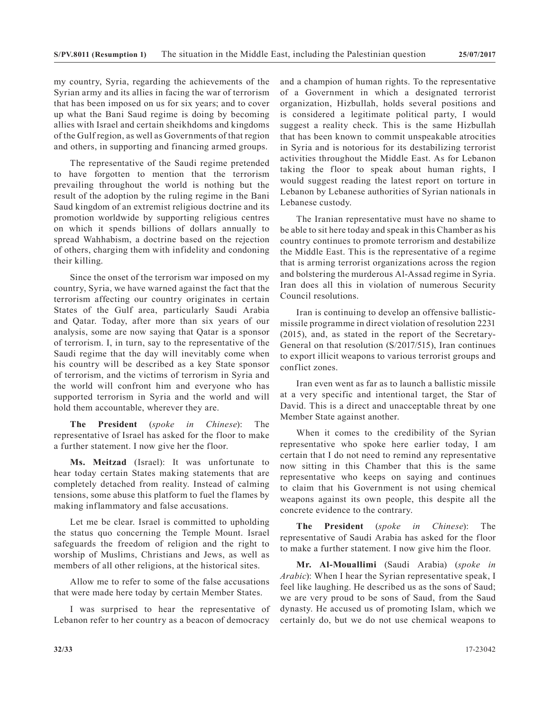my country, Syria, regarding the achievements of the Syrian army and its allies in facing the war of terrorism that has been imposed on us for six years; and to cover up what the Bani Saud regime is doing by becoming allies with Israel and certain sheikhdoms and kingdoms of the Gulf region, as well as Governments of that region and others, in supporting and financing armed groups.

The representative of the Saudi regime pretended to have forgotten to mention that the terrorism prevailing throughout the world is nothing but the result of the adoption by the ruling regime in the Bani Saud kingdom of an extremist religious doctrine and its promotion worldwide by supporting religious centres on which it spends billions of dollars annually to spread Wahhabism, a doctrine based on the rejection of others, charging them with infidelity and condoning their killing.

Since the onset of the terrorism war imposed on my country, Syria, we have warned against the fact that the terrorism affecting our country originates in certain States of the Gulf area, particularly Saudi Arabia and Qatar. Today, after more than six years of our analysis, some are now saying that Qatar is a sponsor of terrorism. I, in turn, say to the representative of the Saudi regime that the day will inevitably come when his country will be described as a key State sponsor of terrorism, and the victims of terrorism in Syria and the world will confront him and everyone who has supported terrorism in Syria and the world and will hold them accountable, wherever they are.

**The President** (*spoke in Chinese*): The representative of Israel has asked for the floor to make a further statement. I now give her the floor.

**Ms. Meitzad** (Israel): It was unfortunate to hear today certain States making statements that are completely detached from reality. Instead of calming tensions, some abuse this platform to fuel the flames by making inflammatory and false accusations.

Let me be clear. Israel is committed to upholding the status quo concerning the Temple Mount. Israel safeguards the freedom of religion and the right to worship of Muslims, Christians and Jews, as well as members of all other religions, at the historical sites.

Allow me to refer to some of the false accusations that were made here today by certain Member States.

I was surprised to hear the representative of Lebanon refer to her country as a beacon of democracy

and a champion of human rights. To the representative of a Government in which a designated terrorist organization, Hizbullah, holds several positions and is considered a legitimate political party, I would suggest a reality check. This is the same Hizbullah that has been known to commit unspeakable atrocities in Syria and is notorious for its destabilizing terrorist activities throughout the Middle East. As for Lebanon taking the floor to speak about human rights, I would suggest reading the latest report on torture in Lebanon by Lebanese authorities of Syrian nationals in Lebanese custody.

The Iranian representative must have no shame to be able to sit here today and speak in this Chamber as his country continues to promote terrorism and destabilize the Middle East. This is the representative of a regime that is arming terrorist organizations across the region and bolstering the murderous Al-Assad regime in Syria. Iran does all this in violation of numerous Security Council resolutions.

Iran is continuing to develop an offensive ballisticmissile programme in direct violation of resolution 2231 (2015), and, as stated in the report of the Secretary-General on that resolution (S/2017/515), Iran continues to export illicit weapons to various terrorist groups and conflict zones.

Iran even went as far as to launch a ballistic missile at a very specific and intentional target, the Star of David. This is a direct and unacceptable threat by one Member State against another.

When it comes to the credibility of the Syrian representative who spoke here earlier today, I am certain that I do not need to remind any representative now sitting in this Chamber that this is the same representative who keeps on saying and continues to claim that his Government is not using chemical weapons against its own people, this despite all the concrete evidence to the contrary.

**The President** (*spoke in Chinese*): The representative of Saudi Arabia has asked for the floor to make a further statement. I now give him the floor.

**Mr. Al-Mouallimi** (Saudi Arabia) (*spoke in Arabic*): When I hear the Syrian representative speak, I feel like laughing. He described us as the sons of Saud; we are very proud to be sons of Saud, from the Saud dynasty. He accused us of promoting Islam, which we certainly do, but we do not use chemical weapons to